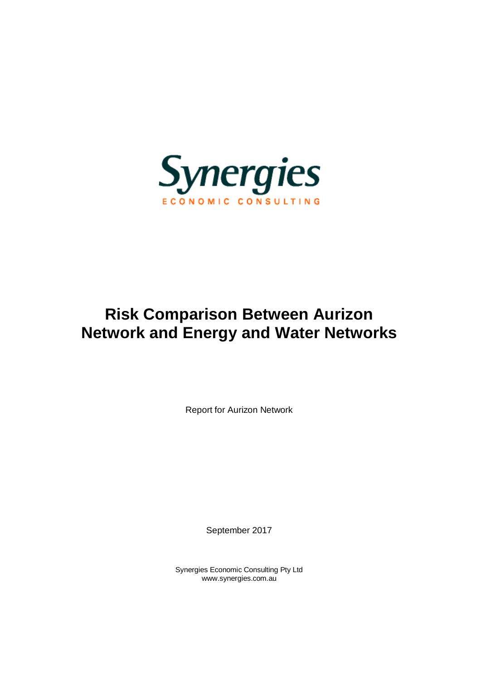

# **Risk Comparison Between Aurizon Network and Energy and Water Networks**

Report for Aurizon Network

September 2017

Synergies Economic Consulting Pty Ltd www.synergies.com.au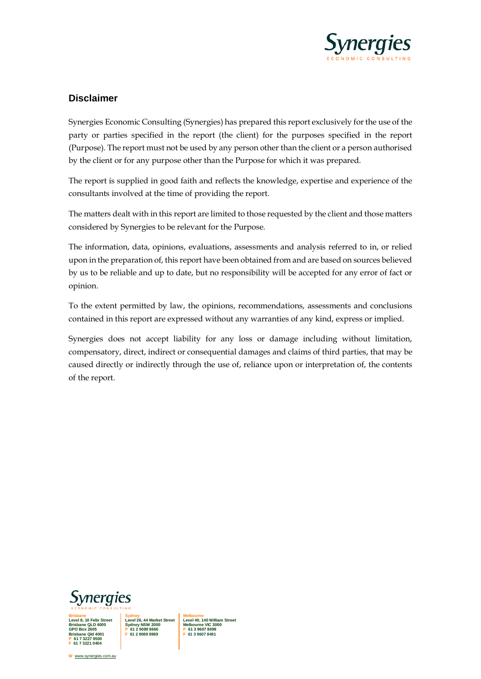

### **Disclaimer**

Synergies Economic Consulting (Synergies) has prepared this report exclusively for the use of the party or parties specified in the report (the client) for the purposes specified in the report (Purpose). The report must not be used by any person other than the client or a person authorised by the client or for any purpose other than the Purpose for which it was prepared.

The report is supplied in good faith and reflects the knowledge, expertise and experience of the consultants involved at the time of providing the report.

The matters dealt with in this report are limited to those requested by the client and those matters considered by Synergies to be relevant for the Purpose.

The information, data, opinions, evaluations, assessments and analysis referred to in, or relied upon in the preparation of, this report have been obtained from and are based on sources believed by us to be reliable and up to date, but no responsibility will be accepted for any error of fact or opinion.

To the extent permitted by law, the opinions, recommendations, assessments and conclusions contained in this report are expressed without any warranties of any kind, express or implied.

Synergies does not accept liability for any loss or damage including without limitation, compensatory, direct, indirect or consequential damages and claims of third parties, that may be caused directly or indirectly through the use of, reliance upon or interpretation of, the contents of the report.



**Brisbane Level 8, 10 Felix Street Brisbane QLD 4000 GPO Box 2605 Brisbane Qld 4001 P 61 7 3227 9500 F 61 7 3221 0404**

**Melbourne Level 40, 140 William Street Melbourne VIC 3000 P 61 3 9607 8499 F 61 3 9607 8491**

**W** [www.synergies.com.au](http://www.synergies.com.au/)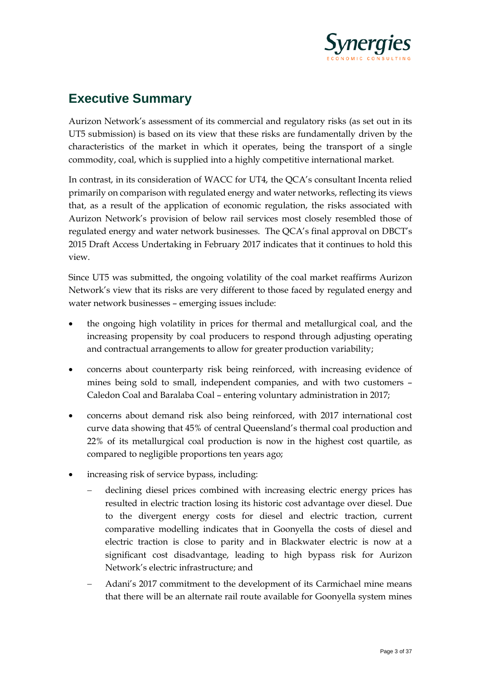

# **Executive Summary**

Aurizon Network's assessment of its commercial and regulatory risks (as set out in its UT5 submission) is based on its view that these risks are fundamentally driven by the characteristics of the market in which it operates, being the transport of a single commodity, coal, which is supplied into a highly competitive international market.

In contrast, in its consideration of WACC for UT4, the QCA's consultant Incenta relied primarily on comparison with regulated energy and water networks, reflecting its views that, as a result of the application of economic regulation, the risks associated with Aurizon Network's provision of below rail services most closely resembled those of regulated energy and water network businesses. The QCA's final approval on DBCT's 2015 Draft Access Undertaking in February 2017 indicates that it continues to hold this view.

Since UT5 was submitted, the ongoing volatility of the coal market reaffirms Aurizon Network's view that its risks are very different to those faced by regulated energy and water network businesses – emerging issues include:

- the ongoing high volatility in prices for thermal and metallurgical coal, and the increasing propensity by coal producers to respond through adjusting operating and contractual arrangements to allow for greater production variability;
- concerns about counterparty risk being reinforced, with increasing evidence of mines being sold to small, independent companies, and with two customers – Caledon Coal and Baralaba Coal – entering voluntary administration in 2017;
- concerns about demand risk also being reinforced, with 2017 international cost curve data showing that 45% of central Queensland's thermal coal production and 22% of its metallurgical coal production is now in the highest cost quartile, as compared to negligible proportions ten years ago;
- increasing risk of service bypass, including:
	- − declining diesel prices combined with increasing electric energy prices has resulted in electric traction losing its historic cost advantage over diesel. Due to the divergent energy costs for diesel and electric traction, current comparative modelling indicates that in Goonyella the costs of diesel and electric traction is close to parity and in Blackwater electric is now at a significant cost disadvantage, leading to high bypass risk for Aurizon Network's electric infrastructure; and
	- − Adani's 2017 commitment to the development of its Carmichael mine means that there will be an alternate rail route available for Goonyella system mines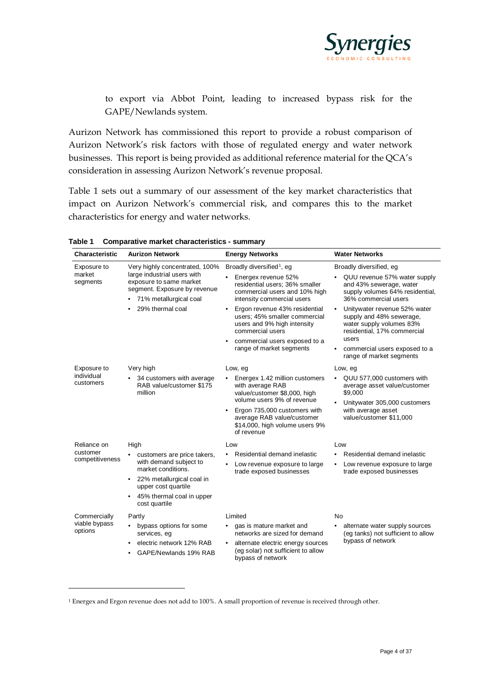

to export via Abbot Point, leading to increased bypass risk for the GAPE/Newlands system.

Aurizon Network has commissioned this report to provide a robust comparison of Aurizon Network's risk factors with those of regulated energy and water network businesses. This report is being provided as additional reference material for the QCA's consideration in assessing Aurizon Network's revenue proposal.

[Table 1](#page-3-0) sets out a summary of our assessment of the key market characteristics that impact on Aurizon Network's commercial risk, and compares this to the market characteristics for energy and water networks.

| <b>Characteristic</b>                      | <b>Aurizon Network</b>                                                                                                                                                                                          | <b>Energy Networks</b>                                                                                                                                                                                                                                                                                                                                            | <b>Water Networks</b>                                                                                                                                                                                                                                                                                                                                   |
|--------------------------------------------|-----------------------------------------------------------------------------------------------------------------------------------------------------------------------------------------------------------------|-------------------------------------------------------------------------------------------------------------------------------------------------------------------------------------------------------------------------------------------------------------------------------------------------------------------------------------------------------------------|---------------------------------------------------------------------------------------------------------------------------------------------------------------------------------------------------------------------------------------------------------------------------------------------------------------------------------------------------------|
| Exposure to<br>market<br>segments          | Very highly concentrated, 100%<br>large industrial users with<br>exposure to same market<br>segment. Exposure by revenue<br>71% metallurgical coal<br>29% thermal coal                                          | Broadly diversified <sup>1</sup> , eg<br>Energex revenue 52%<br>residential users; 36% smaller<br>commercial users and 10% high<br>intensity commercial users<br>Ergon revenue 43% residential<br>$\bullet$<br>users; 45% smaller commercial<br>users and 9% high intensity<br>commercial users<br>commercial users exposed to a<br>٠<br>range of market segments | Broadly diversified, eg<br>QUU revenue 57% water supply<br>and 43% sewerage, water<br>supply volumes 64% residential,<br>36% commercial users<br>Unitywater revenue 52% water<br>$\bullet$<br>supply and 48% sewerage.<br>water supply volumes 83%<br>residential, 17% commercial<br>users<br>commercial users exposed to a<br>range of market segments |
| Exposure to<br>individual<br>customers     | Very high<br>34 customers with average<br>RAB value/customer \$175<br>million                                                                                                                                   | Low, eg<br>Energex 1.42 million customers<br>with average RAB<br>value/customer \$8,000, high<br>volume users 9% of revenue<br>Ergon 735,000 customers with<br>$\bullet$<br>average RAB value/customer<br>\$14,000, high volume users 9%<br>of revenue                                                                                                            | Low, eg<br>QUU 577,000 customers with<br>average asset value/customer<br>\$9,000<br>Unitywater 305,000 customers<br>with average asset<br>value/customer \$11,000                                                                                                                                                                                       |
| Reliance on<br>customer<br>competitiveness | High<br>customers are price takers,<br>with demand subject to<br>market conditions.<br>22% metallurgical coal in<br>$\bullet$<br>upper cost quartile<br>45% thermal coal in upper<br>$\bullet$<br>cost quartile | Low<br>Residential demand inelastic<br>٠<br>Low revenue exposure to large<br>trade exposed businesses                                                                                                                                                                                                                                                             | Low<br>Residential demand inelastic<br>٠<br>Low revenue exposure to large<br>trade exposed businesses                                                                                                                                                                                                                                                   |
| Commercially<br>viable bypass<br>options   | Partly<br>bypass options for some<br>$\bullet$<br>services, eq<br>electric network 12% RAB<br>٠<br>GAPE/Newlands 19% RAB                                                                                        | Limited<br>gas is mature market and<br>$\bullet$<br>networks are sized for demand<br>alternate electric energy sources<br>٠<br>(eg solar) not sufficient to allow<br>bypass of network                                                                                                                                                                            | N <sub>0</sub><br>alternate water supply sources<br>$\bullet$<br>(eq tanks) not sufficient to allow<br>bypass of network                                                                                                                                                                                                                                |

<span id="page-3-0"></span>**Table 1 Comparative market characteristics - summary**

<span id="page-3-1"></span><sup>1</sup> Energex and Ergon revenue does not add to 100%. A small proportion of revenue is received through other.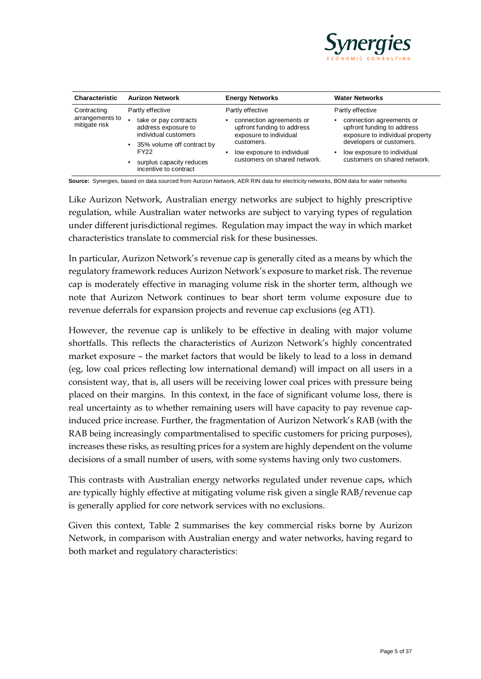

| <b>Characteristic</b>            | <b>Aurizon Network</b>                                               | <b>Energy Networks</b>                                                                              | <b>Water Networks</b>                                                                                                      |
|----------------------------------|----------------------------------------------------------------------|-----------------------------------------------------------------------------------------------------|----------------------------------------------------------------------------------------------------------------------------|
| Contracting                      | Partly effective                                                     | Partly effective                                                                                    | Partly effective                                                                                                           |
| arrangements to<br>mitigate risk | take or pay contracts<br>address exposure to<br>individual customers | connection agreements or<br>٠<br>upfront funding to address<br>exposure to individual<br>customers. | connection agreements or<br>٠<br>upfront funding to address<br>exposure to individual property<br>developers or customers. |
|                                  | • 35% volume off contract by<br><b>FY22</b>                          | low exposure to individual                                                                          | low exposure to individual<br>٠                                                                                            |
|                                  | surplus capacity reduces<br>incentive to contract                    | customers on shared network.                                                                        | customers on shared network.                                                                                               |

**Source:** Synergies, based on data sourced from Aurizon Network, AER RIN data for electricity networks, BOM data for water networks

Like Aurizon Network, Australian energy networks are subject to highly prescriptive regulation, while Australian water networks are subject to varying types of regulation under different jurisdictional regimes. Regulation may impact the way in which market characteristics translate to commercial risk for these businesses.

In particular, Aurizon Network's revenue cap is generally cited as a means by which the regulatory framework reduces Aurizon Network's exposure to market risk. The revenue cap is moderately effective in managing volume risk in the shorter term, although we note that Aurizon Network continues to bear short term volume exposure due to revenue deferrals for expansion projects and revenue cap exclusions (eg AT1).

However, the revenue cap is unlikely to be effective in dealing with major volume shortfalls. This reflects the characteristics of Aurizon Network's highly concentrated market exposure – the market factors that would be likely to lead to a loss in demand (eg, low coal prices reflecting low international demand) will impact on all users in a consistent way, that is, all users will be receiving lower coal prices with pressure being placed on their margins. In this context, in the face of significant volume loss, there is real uncertainty as to whether remaining users will have capacity to pay revenue capinduced price increase. Further, the fragmentation of Aurizon Network's RAB (with the RAB being increasingly compartmentalised to specific customers for pricing purposes), increases these risks, as resulting prices for a system are highly dependent on the volume decisions of a small number of users, with some systems having only two customers.

This contrasts with Australian energy networks regulated under revenue caps, which are typically highly effective at mitigating volume risk given a single RAB/revenue cap is generally applied for core network services with no exclusions.

Given this context, [Table 2](#page-5-0) summarises the key commercial risks borne by Aurizon Network, in comparison with Australian energy and water networks, having regard to both market and regulatory characteristics: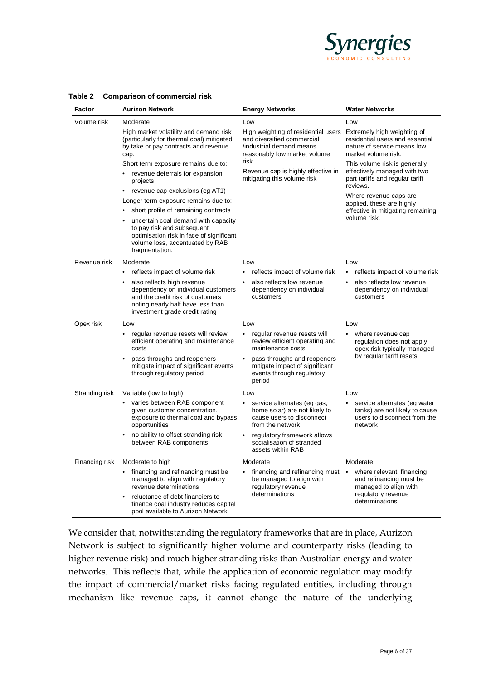

| Factor         | <b>Aurizon Network</b>                                                                                                                                                           | <b>Energy Networks</b>                                                                                                        | <b>Water Networks</b>                                                                                                  |
|----------------|----------------------------------------------------------------------------------------------------------------------------------------------------------------------------------|-------------------------------------------------------------------------------------------------------------------------------|------------------------------------------------------------------------------------------------------------------------|
| Volume risk    | Moderate                                                                                                                                                                         | Low                                                                                                                           | Low                                                                                                                    |
|                | High market volatility and demand risk<br>(particularly for thermal coal) mitigated<br>by take or pay contracts and revenue<br>cap.                                              | High weighting of residential users<br>and diversified commercial<br>/industrial demand means<br>reasonably low market volume | Extremely high weighting of<br>residential users and essential<br>nature of service means low<br>market volume risk.   |
|                | Short term exposure remains due to:                                                                                                                                              | risk.                                                                                                                         | This volume risk is generally                                                                                          |
|                | revenue deferrals for expansion<br>projects                                                                                                                                      | Revenue cap is highly effective in<br>mitigating this volume risk                                                             | effectively managed with two<br>part tariffs and regular tariff<br>reviews.                                            |
|                | revenue cap exclusions (eg AT1)<br>٠                                                                                                                                             |                                                                                                                               | Where revenue caps are                                                                                                 |
|                | Longer term exposure remains due to:                                                                                                                                             |                                                                                                                               | applied, these are highly                                                                                              |
|                | short profile of remaining contracts<br>٠                                                                                                                                        |                                                                                                                               | effective in mitigating remaining                                                                                      |
|                | uncertain coal demand with capacity<br>٠<br>to pay risk and subsequent<br>optimisation risk in face of significant<br>volume loss, accentuated by RAB<br>fragmentation.          |                                                                                                                               | volume risk.                                                                                                           |
| Revenue risk   | Moderate                                                                                                                                                                         | Low                                                                                                                           | Low                                                                                                                    |
|                | reflects impact of volume risk<br>$\bullet$                                                                                                                                      | reflects impact of volume risk                                                                                                | reflects impact of volume risk                                                                                         |
|                | also reflects high revenue<br>٠<br>dependency on individual customers<br>and the credit risk of customers<br>noting nearly half have less than<br>investment grade credit rating | also reflects low revenue<br>dependency on individual<br>customers                                                            | also reflects low revenue<br>$\bullet$<br>dependency on individual<br>customers                                        |
| Opex risk      | Low                                                                                                                                                                              | Low                                                                                                                           | Low                                                                                                                    |
|                | regular revenue resets will review<br>$\bullet$<br>efficient operating and maintenance<br>costs                                                                                  | regular revenue resets will<br>$\bullet$<br>review efficient operating and<br>maintenance costs                               | $\bullet$<br>where revenue cap<br>regulation does not apply,<br>opex risk typically managed                            |
|                | pass-throughs and reopeners<br>٠<br>mitigate impact of significant events<br>through regulatory period                                                                           | pass-throughs and reopeners<br>mitigate impact of significant<br>events through regulatory<br>period                          | by regular tariff resets                                                                                               |
| Stranding risk | Variable (low to high)                                                                                                                                                           | Low                                                                                                                           | Low                                                                                                                    |
|                | varies between RAB component<br>given customer concentration,<br>exposure to thermal coal and bypass<br>opportunities                                                            | service alternates (eg gas,<br>home solar) are not likely to<br>cause users to disconnect<br>from the network                 | service alternates (eg water<br>$\bullet$<br>tanks) are not likely to cause<br>users to disconnect from the<br>network |
|                | no ability to offset stranding risk<br>between RAB components                                                                                                                    | regulatory framework allows<br>socialisation of stranded<br>assets within RAB                                                 |                                                                                                                        |
| Financing risk | Moderate to high                                                                                                                                                                 | Moderate                                                                                                                      | Moderate                                                                                                               |
|                | financing and refinancing must be<br>managed to align with regulatory<br>revenue determinations                                                                                  | financing and refinancing must •<br>be managed to align with<br>regulatory revenue                                            | where relevant, financing<br>and refinancing must be<br>managed to align with                                          |
|                | reluctance of debt financiers to<br>٠<br>finance coal industry reduces capital<br>pool available to Aurizon Network                                                              | determinations                                                                                                                | regulatory revenue<br>determinations                                                                                   |

#### <span id="page-5-0"></span>**Table 2 Comparison of commercial risk**

We consider that, notwithstanding the regulatory frameworks that are in place, Aurizon Network is subject to significantly higher volume and counterparty risks (leading to higher revenue risk) and much higher stranding risks than Australian energy and water networks. This reflects that, while the application of economic regulation may modify the impact of commercial/market risks facing regulated entities, including through mechanism like revenue caps, it cannot change the nature of the underlying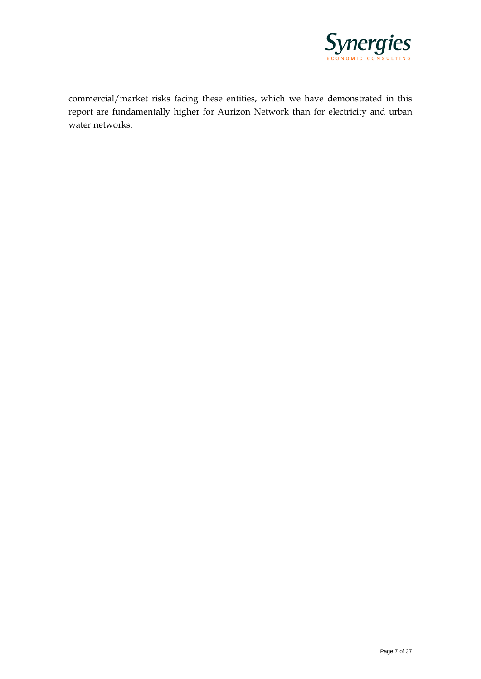

commercial/market risks facing these entities, which we have demonstrated in this report are fundamentally higher for Aurizon Network than for electricity and urban water networks.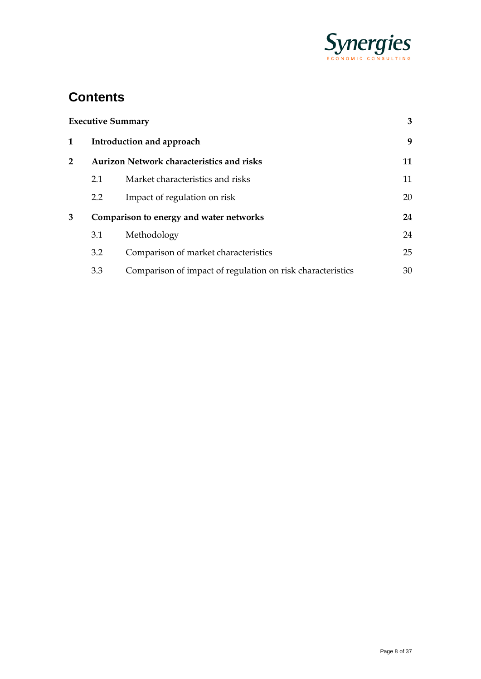

# **Contents**

|              | <b>Executive Summary</b>            |                                                            | 3  |  |
|--------------|-------------------------------------|------------------------------------------------------------|----|--|
| 1            | Introduction and approach           |                                                            |    |  |
| $\mathbf{2}$ |                                     | <b>Aurizon Network characteristics and risks</b>           | 11 |  |
|              | 2.1                                 | Market characteristics and risks                           | 11 |  |
|              | Impact of regulation on risk<br>2.2 |                                                            |    |  |
| 3            |                                     | Comparison to energy and water networks                    | 24 |  |
|              | 3.1                                 | Methodology                                                | 24 |  |
|              | 3.2                                 | Comparison of market characteristics                       | 25 |  |
|              | 3.3                                 | Comparison of impact of regulation on risk characteristics | 30 |  |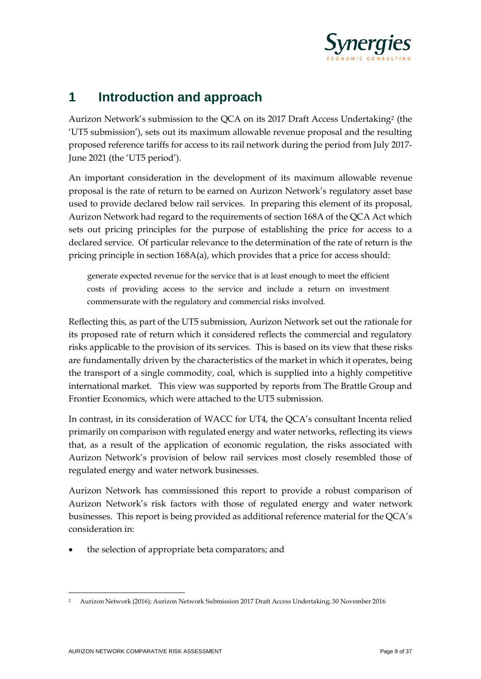

# **1 Introduction and approach**

Aurizon Network's submission to the QCA on its 2017 Draft Access Undertaking[2](#page-8-0) (the 'UT5 submission'), sets out its maximum allowable revenue proposal and the resulting proposed reference tariffs for access to its rail network during the period from July 2017- June 2021 (the 'UT5 period').

An important consideration in the development of its maximum allowable revenue proposal is the rate of return to be earned on Aurizon Network's regulatory asset base used to provide declared below rail services. In preparing this element of its proposal, Aurizon Network had regard to the requirements of section 168A of the QCA Act which sets out pricing principles for the purpose of establishing the price for access to a declared service. Of particular relevance to the determination of the rate of return is the pricing principle in section 168A(a), which provides that a price for access should:

generate expected revenue for the service that is at least enough to meet the efficient costs of providing access to the service and include a return on investment commensurate with the regulatory and commercial risks involved.

Reflecting this, as part of the UT5 submission, Aurizon Network set out the rationale for its proposed rate of return which it considered reflects the commercial and regulatory risks applicable to the provision of its services. This is based on its view that these risks are fundamentally driven by the characteristics of the market in which it operates, being the transport of a single commodity, coal, which is supplied into a highly competitive international market. This view was supported by reports from The Brattle Group and Frontier Economics, which were attached to the UT5 submission.

In contrast, in its consideration of WACC for UT4, the QCA's consultant Incenta relied primarily on comparison with regulated energy and water networks, reflecting its views that, as a result of the application of economic regulation, the risks associated with Aurizon Network's provision of below rail services most closely resembled those of regulated energy and water network businesses.

Aurizon Network has commissioned this report to provide a robust comparison of Aurizon Network's risk factors with those of regulated energy and water network businesses. This report is being provided as additional reference material for the QCA's consideration in:

the selection of appropriate beta comparators; and

<span id="page-8-0"></span><sup>2</sup> Aurizon Network (2016); Aurizon Network Submission 2017 Draft Access Undertaking; 30 November 2016  $\overline{a}$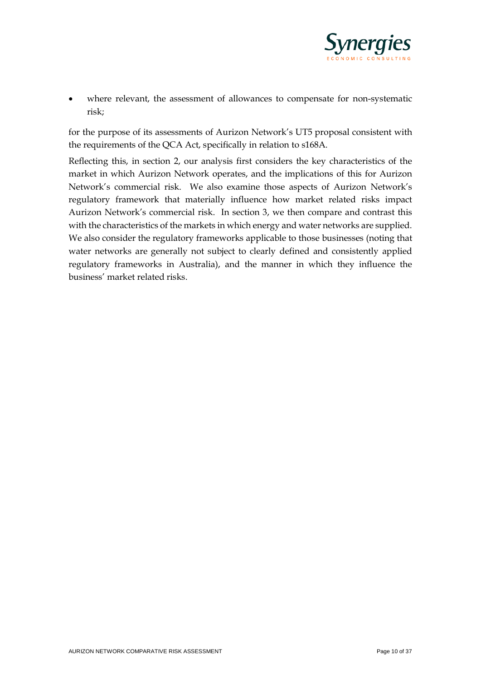

where relevant, the assessment of allowances to compensate for non-systematic risk;

for the purpose of its assessments of Aurizon Network's UT5 proposal consistent with the requirements of the QCA Act, specifically in relation to s168A.

Reflecting this, in section 2, our analysis first considers the key characteristics of the market in which Aurizon Network operates, and the implications of this for Aurizon Network's commercial risk. We also examine those aspects of Aurizon Network's regulatory framework that materially influence how market related risks impact Aurizon Network's commercial risk. In section 3, we then compare and contrast this with the characteristics of the markets in which energy and water networks are supplied. We also consider the regulatory frameworks applicable to those businesses (noting that water networks are generally not subject to clearly defined and consistently applied regulatory frameworks in Australia), and the manner in which they influence the business' market related risks.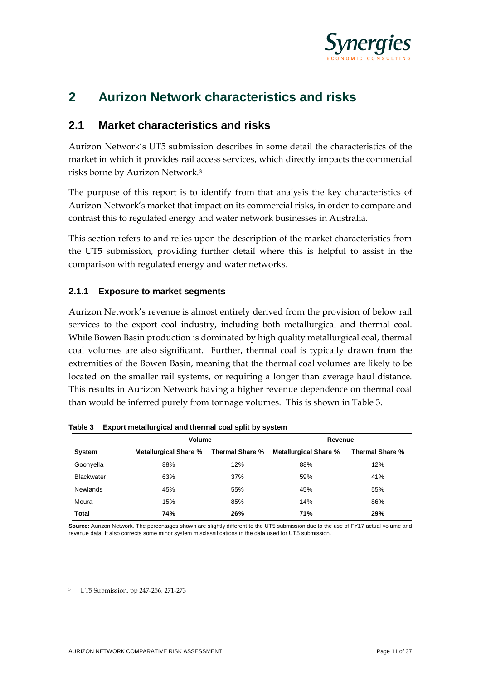

# **2 Aurizon Network characteristics and risks**

### **2.1 Market characteristics and risks**

Aurizon Network's UT5 submission describes in some detail the characteristics of the market in which it provides rail access services, which directly impacts the commercial risks borne by Aurizon Network.[3](#page-10-1)

The purpose of this report is to identify from that analysis the key characteristics of Aurizon Network's market that impact on its commercial risks, in order to compare and contrast this to regulated energy and water network businesses in Australia.

This section refers to and relies upon the description of the market characteristics from the UT5 submission, providing further detail where this is helpful to assist in the comparison with regulated energy and water networks.

### **2.1.1 Exposure to market segments**

Aurizon Network's revenue is almost entirely derived from the provision of below rail services to the export coal industry, including both metallurgical and thermal coal. While Bowen Basin production is dominated by high quality metallurgical coal, thermal coal volumes are also significant. Further, thermal coal is typically drawn from the extremities of the Bowen Basin, meaning that the thermal coal volumes are likely to be located on the smaller rail systems, or requiring a longer than average haul distance. This results in Aurizon Network having a higher revenue dependence on thermal coal than would be inferred purely from tonnage volumes. This is shown in [Table 3.](#page-10-0)

|                   | Volume                       |                 | Revenue                      |                 |  |
|-------------------|------------------------------|-----------------|------------------------------|-----------------|--|
| <b>System</b>     | <b>Metallurgical Share %</b> | Thermal Share % | <b>Metallurgical Share %</b> | Thermal Share % |  |
| Goonyella         | 88%                          | 12%             | 88%                          | 12%             |  |
| <b>Blackwater</b> | 63%                          | 37%             | 59%                          | 41%             |  |
| <b>Newlands</b>   | 45%                          | 55%             | 45%                          | 55%             |  |
| Moura             | 15%                          | 85%             | 14%                          | 86%             |  |
| <b>Total</b>      | 74%                          | 26%             | 71%                          | 29%             |  |

<span id="page-10-0"></span>**Table 3 Export metallurgical and thermal coal split by system**

**Source:** Aurizon Network. The percentages shown are slightly different to the UT5 submission due to the use of FY17 actual volume and revenue data. It also corrects some minor system misclassifications in the data used for UT5 submission.

<span id="page-10-1"></span><sup>3</sup> UT5 Submission, pp 247-256, 271-273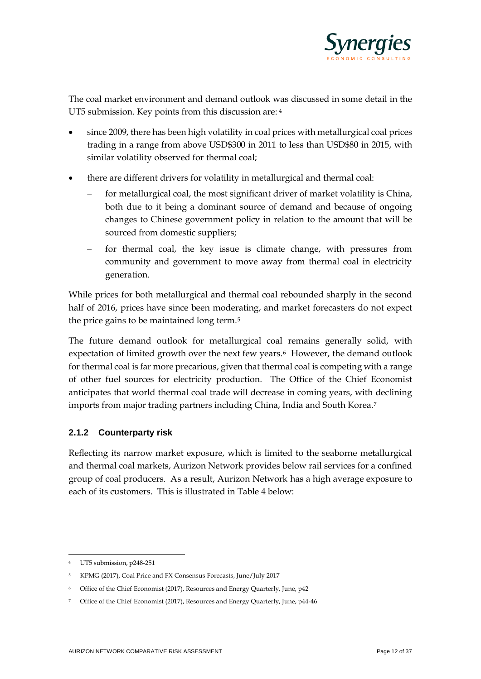

The coal market environment and demand outlook was discussed in some detail in the UT5 submission. Key points from this discussion are: [4](#page-11-0)

- since 2009, there has been high volatility in coal prices with metallurgical coal prices trading in a range from above USD\$300 in 2011 to less than USD\$80 in 2015, with similar volatility observed for thermal coal;
- there are different drivers for volatility in metallurgical and thermal coal:
	- for metallurgical coal, the most significant driver of market volatility is China, both due to it being a dominant source of demand and because of ongoing changes to Chinese government policy in relation to the amount that will be sourced from domestic suppliers;
	- for thermal coal, the key issue is climate change, with pressures from community and government to move away from thermal coal in electricity generation.

While prices for both metallurgical and thermal coal rebounded sharply in the second half of 2016, prices have since been moderating, and market forecasters do not expect the price gains to be maintained long term.<sup>[5](#page-11-1)</sup>

The future demand outlook for metallurgical coal remains generally solid, with expectation of limited growth over the next few years.<sup>6</sup> However, the demand outlook for thermal coal is far more precarious, given that thermal coal is competing with a range of other fuel sources for electricity production. The Office of the Chief Economist anticipates that world thermal coal trade will decrease in coming years, with declining imports from major trading partners including China, India and South Korea.[7](#page-11-3)

### **2.1.2 Counterparty risk**

Reflecting its narrow market exposure, which is limited to the seaborne metallurgical and thermal coal markets, Aurizon Network provides below rail services for a confined group of coal producers. As a result, Aurizon Network has a high average exposure to each of its customers. This is illustrated in [Table 4](#page-12-0) below:

<span id="page-11-0"></span><sup>4</sup> UT5 submission, p248-251

<span id="page-11-1"></span><sup>5</sup> KPMG (2017), Coal Price and FX Consensus Forecasts, June/July 2017

<span id="page-11-2"></span><sup>6</sup> Office of the Chief Economist (2017), Resources and Energy Quarterly, June, p42

<span id="page-11-3"></span><sup>7</sup> Office of the Chief Economist (2017), Resources and Energy Quarterly, June, p44-46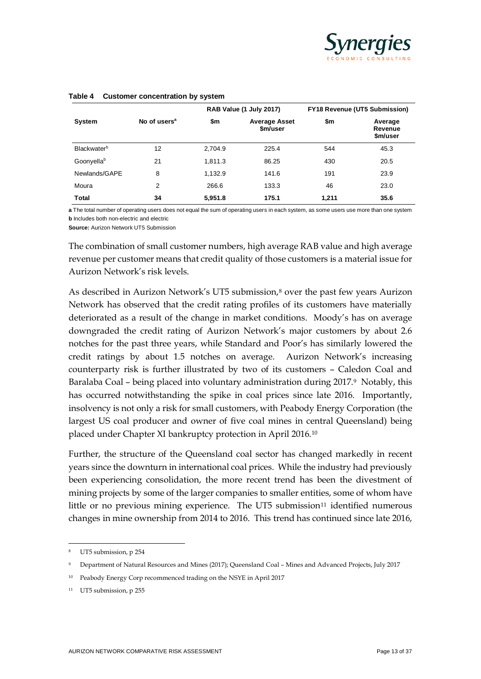

|                         | No of users <sup>a</sup> |         | RAB Value (1 July 2017)          |       | <b>FY18 Revenue (UT5 Submission)</b> |
|-------------------------|--------------------------|---------|----------------------------------|-------|--------------------------------------|
| <b>System</b>           |                          | \$m     | <b>Average Asset</b><br>\$m/user | \$m   | Average<br>Revenue<br>\$m/user       |
| Blackwater <sup>b</sup> | 12                       | 2.704.9 | 225.4                            | 544   | 45.3                                 |
| Goonyellab              | 21                       | 1.811.3 | 86.25                            | 430   | 20.5                                 |
| Newlands/GAPE           | 8                        | 1.132.9 | 141.6                            | 191   | 23.9                                 |
| Moura                   | 2                        | 266.6   | 133.3                            | 46    | 23.0                                 |
| <b>Total</b>            | 34                       | 5.951.8 | 175.1                            | 1.211 | 35.6                                 |

#### <span id="page-12-0"></span>**Table 4 Customer concentration by system**

**a** The total number of operating users does not equal the sum of operating users in each system, as some users use more than one system **b** Includes both non-electric and electric

**Source:** Aurizon Network UT5 Submission

The combination of small customer numbers, high average RAB value and high average revenue per customer means that credit quality of those customers is a material issue for Aurizon Network's risk levels.

As described in Aurizon Network's UT5 submission, $\delta$  over the past few years Aurizon Network has observed that the credit rating profiles of its customers have materially deteriorated as a result of the change in market conditions. Moody's has on average downgraded the credit rating of Aurizon Network's major customers by about 2.6 notches for the past three years, while Standard and Poor's has similarly lowered the credit ratings by about 1.5 notches on average. Aurizon Network's increasing counterparty risk is further illustrated by two of its customers – Caledon Coal and Baralaba Coal – being placed into voluntary administration during 2017.[9](#page-12-2) Notably, this has occurred notwithstanding the spike in coal prices since late 2016. Importantly, insolvency is not only a risk for small customers, with Peabody Energy Corporation (the largest US coal producer and owner of five coal mines in central Queensland) being placed under Chapter XI bankruptcy protection in April 2016.[10](#page-12-3)

Further, the structure of the Queensland coal sector has changed markedly in recent years since the downturn in international coal prices. While the industry had previously been experiencing consolidation, the more recent trend has been the divestment of mining projects by some of the larger companies to smaller entities, some of whom have little or no previous mining experience. The UT5 submission<sup>[11](#page-12-4)</sup> identified numerous changes in mine ownership from 2014 to 2016. This trend has continued since late 2016,

 $\ddot{\phantom{a}}$ 

<span id="page-12-3"></span><sup>10</sup> Peabody Energy Corp recommenced trading on the NSYE in April 2017

<span id="page-12-1"></span>UT5 submission, p 254

<span id="page-12-2"></span><sup>9</sup> Department of Natural Resources and Mines (2017); Queensland Coal – Mines and Advanced Projects, July 2017

<span id="page-12-4"></span><sup>11</sup> UT5 submission, p 255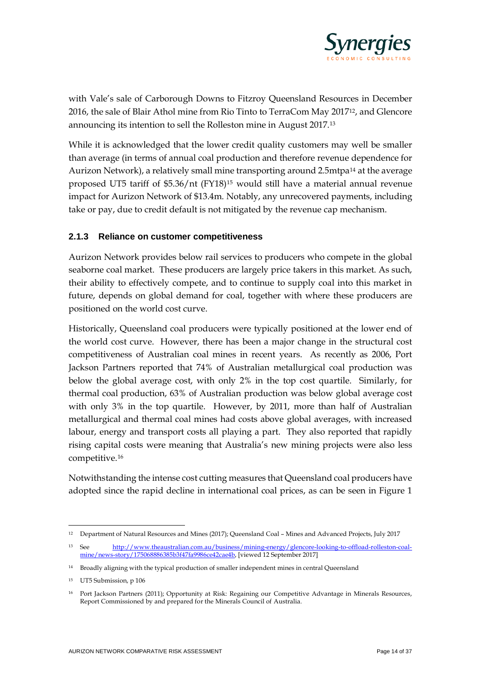

with Vale's sale of Carborough Downs to Fitzroy Queensland Resources in December 2016, the sale of Blair Athol mine from Rio Tinto to TerraCom May 201[712,](#page-13-0) and Glencore announcing its intention to sell the Rolleston mine in August 2017.[13](#page-13-1)

While it is acknowledged that the lower credit quality customers may well be smaller than average (in terms of annual coal production and therefore revenue dependence for Aurizon Network), a relatively small mine transporting around 2.5mtpa[14](#page-13-2) at the average proposed UT5 tariff of \$5.36/nt (FY18)[15](#page-13-3) would still have a material annual revenue impact for Aurizon Network of \$13.4m. Notably, any unrecovered payments, including take or pay, due to credit default is not mitigated by the revenue cap mechanism.

### **2.1.3 Reliance on customer competitiveness**

Aurizon Network provides below rail services to producers who compete in the global seaborne coal market. These producers are largely price takers in this market. As such, their ability to effectively compete, and to continue to supply coal into this market in future, depends on global demand for coal, together with where these producers are positioned on the world cost curve.

Historically, Queensland coal producers were typically positioned at the lower end of the world cost curve. However, there has been a major change in the structural cost competitiveness of Australian coal mines in recent years. As recently as 2006, Port Jackson Partners reported that 74% of Australian metallurgical coal production was below the global average cost, with only 2% in the top cost quartile. Similarly, for thermal coal production, 63% of Australian production was below global average cost with only 3% in the top quartile. However, by 2011, more than half of Australian metallurgical and thermal coal mines had costs above global averages, with increased labour, energy and transport costs all playing a part. They also reported that rapidly rising capital costs were meaning that Australia's new mining projects were also less competitive.[16](#page-13-4)

Notwithstanding the intense cost cutting measures that Queensland coal producers have adopted since the rapid decline in international coal prices, as can be seen in [Figure 1](#page-14-0)

<span id="page-13-0"></span><sup>12</sup> Department of Natural Resources and Mines (2017); Queensland Coal – Mines and Advanced Projects, July 2017  $\overline{a}$ 

<span id="page-13-1"></span><sup>13</sup> See [http://www.theaustralian.com.au/business/mining-energy/glencore-looking-to-offload-rolleston-coal](http://www.theaustralian.com.au/business/mining-energy/glencore-looking-to-offload-rolleston-coal-mine/news-story/175068886385b3f47fa9986ce42cae4b)[mine/news-story/175068886385b3f47fa9986ce42cae4b,](http://www.theaustralian.com.au/business/mining-energy/glencore-looking-to-offload-rolleston-coal-mine/news-story/175068886385b3f47fa9986ce42cae4b) [viewed 12 September 2017]

<span id="page-13-2"></span><sup>&</sup>lt;sup>14</sup> Broadly aligning with the typical production of smaller independent mines in central Queensland

<span id="page-13-3"></span><sup>15</sup> UT5 Submission, p 106

<span id="page-13-4"></span><sup>&</sup>lt;sup>16</sup> Port Jackson Partners (2011); Opportunity at Risk: Regaining our Competitive Advantage in Minerals Resources, Report Commissioned by and prepared for the Minerals Council of Australia.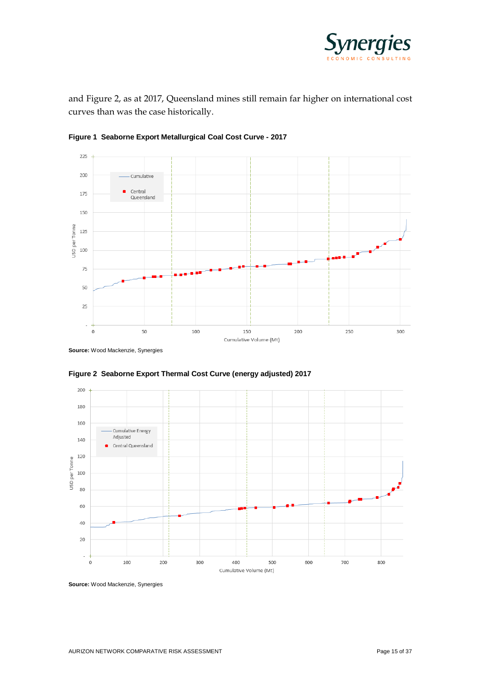

and [Figure 2,](#page-14-1) as at 2017, Queensland mines still remain far higher on international cost curves than was the case historically.



<span id="page-14-0"></span>**Figure 1 Seaborne Export Metallurgical Coal Cost Curve - 2017**

<span id="page-14-1"></span>**Source:** Wood Mackenzie, Synergies



**Figure 2 Seaborne Export Thermal Cost Curve (energy adjusted) 2017**

**Source:** Wood Mackenzie, Synergies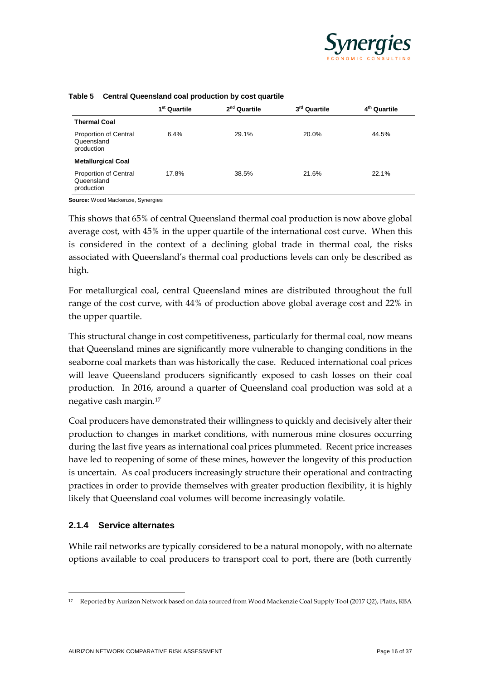

|                                                   | 1 <sup>st</sup> Quartile | $2nd$ Quartile | 3rd Quartile | 4 <sup>th</sup> Quartile |
|---------------------------------------------------|--------------------------|----------------|--------------|--------------------------|
| <b>Thermal Coal</b>                               |                          |                |              |                          |
| Proportion of Central<br>Queensland<br>production | 6.4%                     | 29.1%          | 20.0%        | 44.5%                    |
| <b>Metallurgical Coal</b>                         |                          |                |              |                          |
| Proportion of Central<br>Queensland<br>production | 17.8%                    | 38.5%          | 21.6%        | 22.1%                    |

#### **Table 5 Central Queensland coal production by cost quartile**

**Source:** Wood Mackenzie, Synergies

This shows that 65% of central Queensland thermal coal production is now above global average cost, with 45% in the upper quartile of the international cost curve. When this is considered in the context of a declining global trade in thermal coal, the risks associated with Queensland's thermal coal productions levels can only be described as high.

For metallurgical coal, central Queensland mines are distributed throughout the full range of the cost curve, with 44% of production above global average cost and 22% in the upper quartile.

This structural change in cost competitiveness, particularly for thermal coal, now means that Queensland mines are significantly more vulnerable to changing conditions in the seaborne coal markets than was historically the case. Reduced international coal prices will leave Queensland producers significantly exposed to cash losses on their coal production. In 2016, around a quarter of Queensland coal production was sold at a negative cash margin.[17](#page-15-0)

Coal producers have demonstrated their willingness to quickly and decisively alter their production to changes in market conditions, with numerous mine closures occurring during the last five years as international coal prices plummeted. Recent price increases have led to reopening of some of these mines, however the longevity of this production is uncertain. As coal producers increasingly structure their operational and contracting practices in order to provide themselves with greater production flexibility, it is highly likely that Queensland coal volumes will become increasingly volatile.

#### **2.1.4 Service alternates**

 $\overline{a}$ 

While rail networks are typically considered to be a natural monopoly, with no alternate options available to coal producers to transport coal to port, there are (both currently

<span id="page-15-0"></span><sup>17</sup> Reported by Aurizon Network based on data sourced from Wood Mackenzie Coal Supply Tool (2017 Q2), Platts, RBA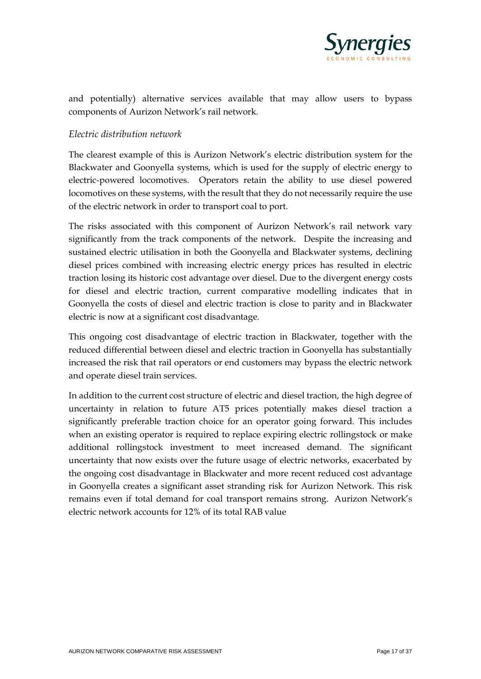

and potentially) alternative services available that may allow users to bypass components of Aurizon Network's rail network.

### *Electric distribution network*

The clearest example of this is Aurizon Network's electric distribution system for the Blackwater and Goonyella systems, which is used for the supply of electric energy to electric-powered locomotives. Operators retain the ability to use diesel powered locomotives on these systems, with the result that they do not necessarily require the use of the electric network in order to transport coal to port.

The risks associated with this component of Aurizon Network's rail network vary significantly from the track components of the network. Despite the increasing and sustained electric utilisation in both the Goonyella and Blackwater systems, declining diesel prices combined with increasing electric energy prices has resulted in electric traction losing its historic cost advantage over diesel. Due to the divergent energy costs for diesel and electric traction, current comparative modelling indicates that in Goonyella the costs of diesel and electric traction is close to parity and in Blackwater electric is now at a significant cost disadvantage.

This ongoing cost disadvantage of electric traction in Blackwater, together with the reduced differential between diesel and electric traction in Goonyella has substantially increased the risk that rail operators or end customers may bypass the electric network and operate diesel train services.

In addition to the current cost structure of electric and diesel traction, the high degree of uncertainty in relation to future AT5 prices potentially makes diesel traction a significantly preferable traction choice for an operator going forward. This includes when an existing operator is required to replace expiring electric rollingstock or make additional rollingstock investment to meet increased demand. The significant uncertainty that now exists over the future usage of electric networks, exacerbated by the ongoing cost disadvantage in Blackwater and more recent reduced cost advantage in Goonyella creates a significant asset stranding risk for Aurizon Network. This risk remains even if total demand for coal transport remains strong. Aurizon Network's electric network accounts for 12% of its total RAB value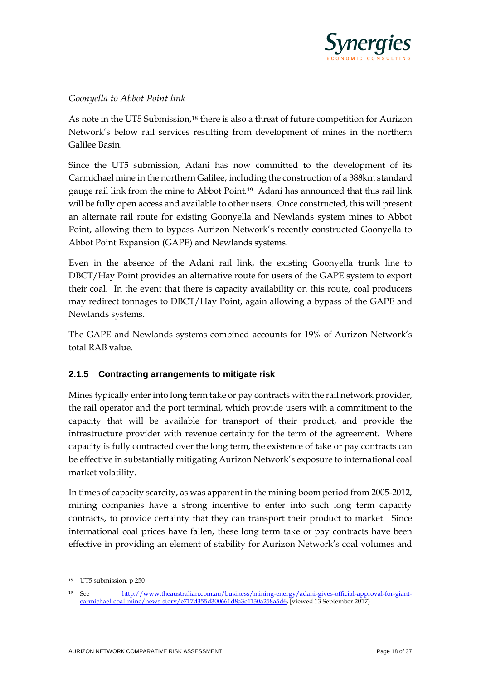

### *Goonyella to Abbot Point link*

As note in the UT5 Submission,<sup>[18](#page-17-0)</sup> there is also a threat of future competition for Aurizon Network's below rail services resulting from development of mines in the northern Galilee Basin.

Since the UT5 submission, Adani has now committed to the development of its Carmichael mine in the northern Galilee, including the construction of a 388km standard gauge rail link from the mine to Abbot Point.[19](#page-17-1) Adani has announced that this rail link will be fully open access and available to other users. Once constructed, this will present an alternate rail route for existing Goonyella and Newlands system mines to Abbot Point, allowing them to bypass Aurizon Network's recently constructed Goonyella to Abbot Point Expansion (GAPE) and Newlands systems.

Even in the absence of the Adani rail link, the existing Goonyella trunk line to DBCT/Hay Point provides an alternative route for users of the GAPE system to export their coal. In the event that there is capacity availability on this route, coal producers may redirect tonnages to DBCT/Hay Point, again allowing a bypass of the GAPE and Newlands systems.

The GAPE and Newlands systems combined accounts for 19% of Aurizon Network's total RAB value.

### **2.1.5 Contracting arrangements to mitigate risk**

Mines typically enter into long term take or pay contracts with the rail network provider, the rail operator and the port terminal, which provide users with a commitment to the capacity that will be available for transport of their product, and provide the infrastructure provider with revenue certainty for the term of the agreement. Where capacity is fully contracted over the long term, the existence of take or pay contracts can be effective in substantially mitigating Aurizon Network's exposure to international coal market volatility.

In times of capacity scarcity, as was apparent in the mining boom period from 2005-2012, mining companies have a strong incentive to enter into such long term capacity contracts, to provide certainty that they can transport their product to market. Since international coal prices have fallen, these long term take or pay contracts have been effective in providing an element of stability for Aurizon Network's coal volumes and

<span id="page-17-0"></span><sup>18</sup> UT5 submission, p 250  $\overline{a}$ 

<span id="page-17-1"></span><sup>&</sup>lt;sup>19</sup> See [http://www.theaustralian.com.au/business/mining-energy/adani-gives-official-approval-for-giant](http://www.theaustralian.com.au/business/mining-energy/adani-gives-official-approval-for-giant-carmichael-coal-mine/news-story/e717d355d300661d8a3c4130a258a5d6)[carmichael-coal-mine/news-story/e717d355d300661d8a3c4130a258a5d6,](http://www.theaustralian.com.au/business/mining-energy/adani-gives-official-approval-for-giant-carmichael-coal-mine/news-story/e717d355d300661d8a3c4130a258a5d6) [viewed 13 September 2017)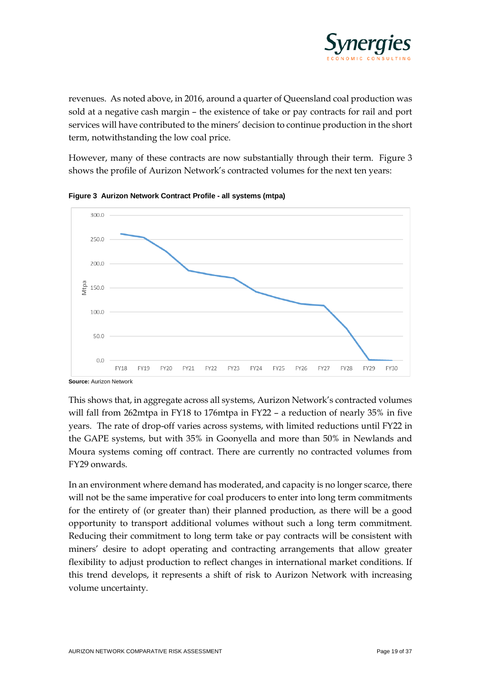

revenues. As noted above, in 2016, around a quarter of Queensland coal production was sold at a negative cash margin – the existence of take or pay contracts for rail and port services will have contributed to the miners' decision to continue production in the short term, notwithstanding the low coal price.

However, many of these contracts are now substantially through their term. [Figure 3](#page-18-0) shows the profile of Aurizon Network's contracted volumes for the next ten years:



<span id="page-18-0"></span>**Figure 3 Aurizon Network Contract Profile - all systems (mtpa)**

**Source:** Aurizon Network

This shows that, in aggregate across all systems, Aurizon Network's contracted volumes will fall from 262mtpa in FY18 to 176mtpa in FY22 – a reduction of nearly 35% in five years. The rate of drop-off varies across systems, with limited reductions until FY22 in the GAPE systems, but with 35% in Goonyella and more than 50% in Newlands and Moura systems coming off contract. There are currently no contracted volumes from FY29 onwards.

In an environment where demand has moderated, and capacity is no longer scarce, there will not be the same imperative for coal producers to enter into long term commitments for the entirety of (or greater than) their planned production, as there will be a good opportunity to transport additional volumes without such a long term commitment. Reducing their commitment to long term take or pay contracts will be consistent with miners' desire to adopt operating and contracting arrangements that allow greater flexibility to adjust production to reflect changes in international market conditions. If this trend develops, it represents a shift of risk to Aurizon Network with increasing volume uncertainty.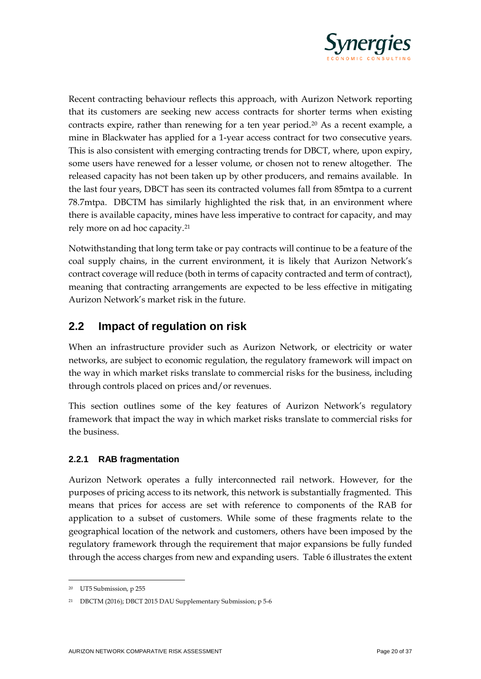

Recent contracting behaviour reflects this approach, with Aurizon Network reporting that its customers are seeking new access contracts for shorter terms when existing contracts expire, rather than renewing for a ten year period.[20](#page-19-0) As a recent example, a mine in Blackwater has applied for a 1-year access contract for two consecutive years. This is also consistent with emerging contracting trends for DBCT, where, upon expiry, some users have renewed for a lesser volume, or chosen not to renew altogether. The released capacity has not been taken up by other producers, and remains available. In the last four years, DBCT has seen its contracted volumes fall from 85mtpa to a current 78.7mtpa. DBCTM has similarly highlighted the risk that, in an environment where there is available capacity, mines have less imperative to contract for capacity, and may rely more on ad hoc capacity[.21](#page-19-1)

Notwithstanding that long term take or pay contracts will continue to be a feature of the coal supply chains, in the current environment, it is likely that Aurizon Network's contract coverage will reduce (both in terms of capacity contracted and term of contract), meaning that contracting arrangements are expected to be less effective in mitigating Aurizon Network's market risk in the future.

### **2.2 Impact of regulation on risk**

When an infrastructure provider such as Aurizon Network, or electricity or water networks, are subject to economic regulation, the regulatory framework will impact on the way in which market risks translate to commercial risks for the business, including through controls placed on prices and/or revenues.

This section outlines some of the key features of Aurizon Network's regulatory framework that impact the way in which market risks translate to commercial risks for the business.

### **2.2.1 RAB fragmentation**

Aurizon Network operates a fully interconnected rail network. However, for the purposes of pricing access to its network, this network is substantially fragmented. This means that prices for access are set with reference to components of the RAB for application to a subset of customers. While some of these fragments relate to the geographical location of the network and customers, others have been imposed by the regulatory framework through the requirement that major expansions be fully funded through the access charges from new and expanding users. [Table 6](#page-20-0) illustrates the extent

<span id="page-19-0"></span><sup>20</sup> UT5 Submission, p 255

<span id="page-19-1"></span><sup>21</sup> DBCTM (2016); DBCT 2015 DAU Supplementary Submission; p 5-6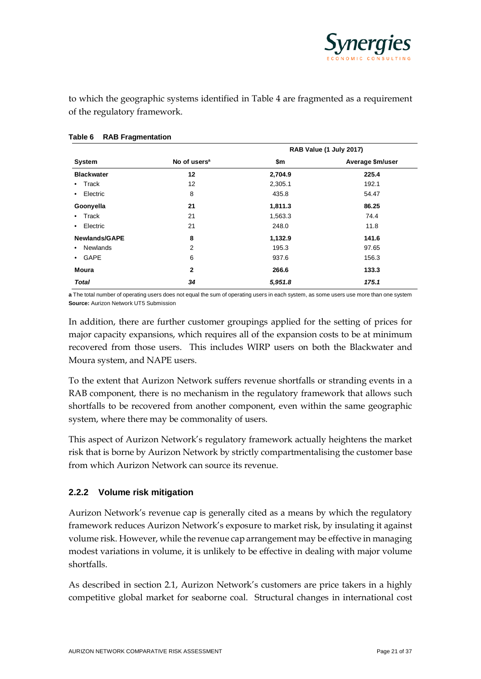

to which the geographic systems identified in [Table 4](#page-12-0) are fragmented as a requirement of the regulatory framework.

|                      |                          | RAB Value (1 July 2017) |                  |  |
|----------------------|--------------------------|-------------------------|------------------|--|
| System               | No of users <sup>a</sup> | \$m                     | Average \$m/user |  |
| <b>Blackwater</b>    | 12                       | 2,704.9                 | 225.4            |  |
| Track<br>$\bullet$   | 12                       | 2,305.1                 | 192.1            |  |
| Electric<br>٠        | 8                        | 435.8                   | 54.47            |  |
| Goonyella            | 21                       | 1,811.3                 | 86.25            |  |
| Track<br>٠           | 21                       | 1,563.3                 | 74.4             |  |
| Electric<br>٠        | 21                       | 248.0                   | 11.8             |  |
| <b>Newlands/GAPE</b> | 8                        | 1,132.9                 | 141.6            |  |
| <b>Newlands</b><br>٠ | 2                        | 195.3                   | 97.65            |  |
| GAPE<br>$\bullet$    | 6                        | 937.6                   | 156.3            |  |
| Moura                | $\overline{2}$           | 266.6                   | 133.3            |  |
| <b>Total</b>         | 34                       | 5,951.8                 | 175.1            |  |

#### <span id="page-20-0"></span>**Table 6 RAB Fragmentation**

**a** The total number of operating users does not equal the sum of operating users in each system, as some users use more than one system **Source:** Aurizon Network UT5 Submission

In addition, there are further customer groupings applied for the setting of prices for major capacity expansions, which requires all of the expansion costs to be at minimum recovered from those users. This includes WIRP users on both the Blackwater and Moura system, and NAPE users.

To the extent that Aurizon Network suffers revenue shortfalls or stranding events in a RAB component, there is no mechanism in the regulatory framework that allows such shortfalls to be recovered from another component, even within the same geographic system, where there may be commonality of users.

This aspect of Aurizon Network's regulatory framework actually heightens the market risk that is borne by Aurizon Network by strictly compartmentalising the customer base from which Aurizon Network can source its revenue.

#### **2.2.2 Volume risk mitigation**

Aurizon Network's revenue cap is generally cited as a means by which the regulatory framework reduces Aurizon Network's exposure to market risk, by insulating it against volume risk. However, while the revenue cap arrangement may be effective in managing modest variations in volume, it is unlikely to be effective in dealing with major volume shortfalls.

As described in section 2.1, Aurizon Network's customers are price takers in a highly competitive global market for seaborne coal. Structural changes in international cost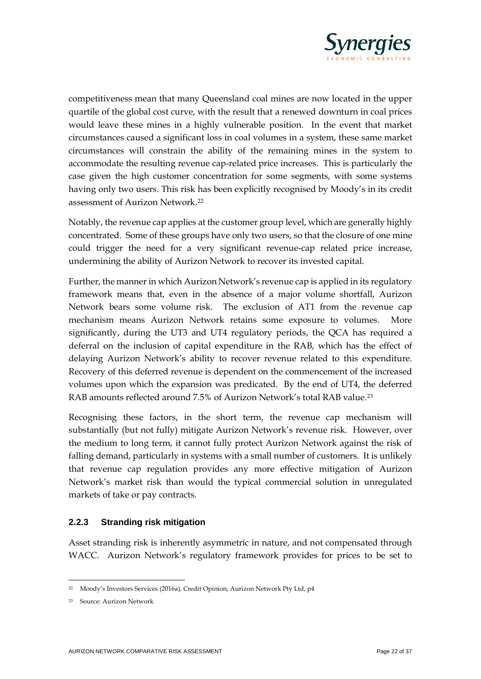

competitiveness mean that many Queensland coal mines are now located in the upper quartile of the global cost curve, with the result that a renewed downturn in coal prices would leave these mines in a highly vulnerable position. In the event that market circumstances caused a significant loss in coal volumes in a system, these same market circumstances will constrain the ability of the remaining mines in the system to accommodate the resulting revenue cap-related price increases. This is particularly the case given the high customer concentration for some segments, with some systems having only two users. This risk has been explicitly recognised by Moody's in its credit assessment of Aurizon Network.[22](#page-21-0)

Notably, the revenue cap applies at the customer group level, which are generally highly concentrated. Some of these groups have only two users, so that the closure of one mine could trigger the need for a very significant revenue-cap related price increase, undermining the ability of Aurizon Network to recover its invested capital.

Further, the manner in which Aurizon Network's revenue cap is applied in its regulatory framework means that, even in the absence of a major volume shortfall, Aurizon Network bears some volume risk. The exclusion of AT1 from the revenue cap mechanism means Aurizon Network retains some exposure to volumes. More significantly, during the UT3 and UT4 regulatory periods, the QCA has required a deferral on the inclusion of capital expenditure in the RAB, which has the effect of delaying Aurizon Network's ability to recover revenue related to this expenditure. Recovery of this deferred revenue is dependent on the commencement of the increased volumes upon which the expansion was predicated. By the end of UT4, the deferred RAB amounts reflected around 7.5% of Aurizon Network's total RAB value.[23](#page-21-1)

Recognising these factors, in the short term, the revenue cap mechanism will substantially (but not fully) mitigate Aurizon Network's revenue risk. However, over the medium to long term, it cannot fully protect Aurizon Network against the risk of falling demand, particularly in systems with a small number of customers. It is unlikely that revenue cap regulation provides any more effective mitigation of Aurizon Network's market risk than would the typical commercial solution in unregulated markets of take or pay contracts.

### **2.2.3 Stranding risk mitigation**

Asset stranding risk is inherently asymmetric in nature, and not compensated through WACC. Aurizon Network's regulatory framework provides for prices to be set to

<span id="page-21-0"></span><sup>22</sup> Moody's Investors Services (2016a), Credit Opinion, Aurizon Network Pty Ltd, p4

<span id="page-21-1"></span><sup>23</sup> Source: Aurizon Network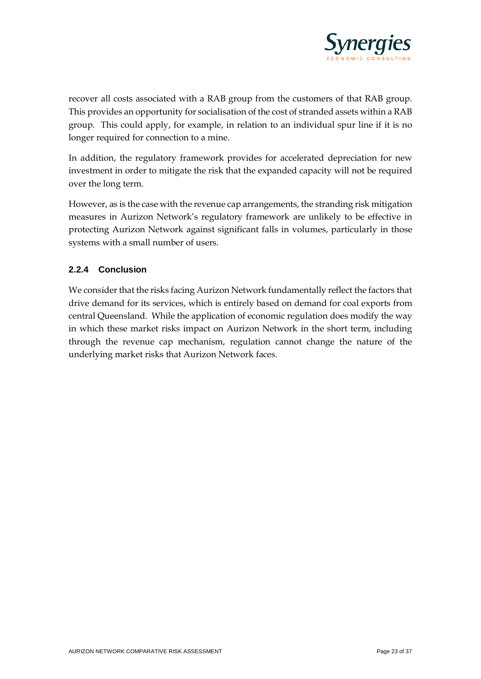

recover all costs associated with a RAB group from the customers of that RAB group. This provides an opportunity for socialisation of the cost of stranded assets within a RAB group. This could apply, for example, in relation to an individual spur line if it is no longer required for connection to a mine.

In addition, the regulatory framework provides for accelerated depreciation for new investment in order to mitigate the risk that the expanded capacity will not be required over the long term.

However, as is the case with the revenue cap arrangements, the stranding risk mitigation measures in Aurizon Network's regulatory framework are unlikely to be effective in protecting Aurizon Network against significant falls in volumes, particularly in those systems with a small number of users.

### **2.2.4 Conclusion**

We consider that the risks facing Aurizon Network fundamentally reflect the factors that drive demand for its services, which is entirely based on demand for coal exports from central Queensland. While the application of economic regulation does modify the way in which these market risks impact on Aurizon Network in the short term, including through the revenue cap mechanism, regulation cannot change the nature of the underlying market risks that Aurizon Network faces.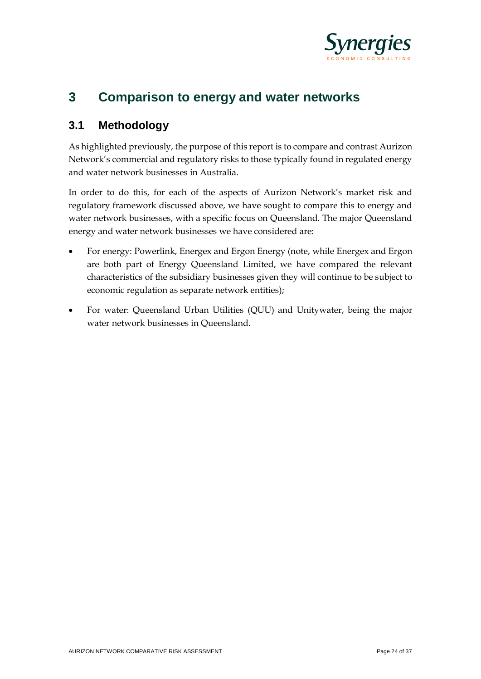

# **3 Comparison to energy and water networks**

### **3.1 Methodology**

As highlighted previously, the purpose of this report is to compare and contrast Aurizon Network's commercial and regulatory risks to those typically found in regulated energy and water network businesses in Australia.

In order to do this, for each of the aspects of Aurizon Network's market risk and regulatory framework discussed above, we have sought to compare this to energy and water network businesses, with a specific focus on Queensland. The major Queensland energy and water network businesses we have considered are:

- For energy: Powerlink, Energex and Ergon Energy (note, while Energex and Ergon are both part of Energy Queensland Limited, we have compared the relevant characteristics of the subsidiary businesses given they will continue to be subject to economic regulation as separate network entities);
- For water: Queensland Urban Utilities (QUU) and Unitywater, being the major water network businesses in Queensland.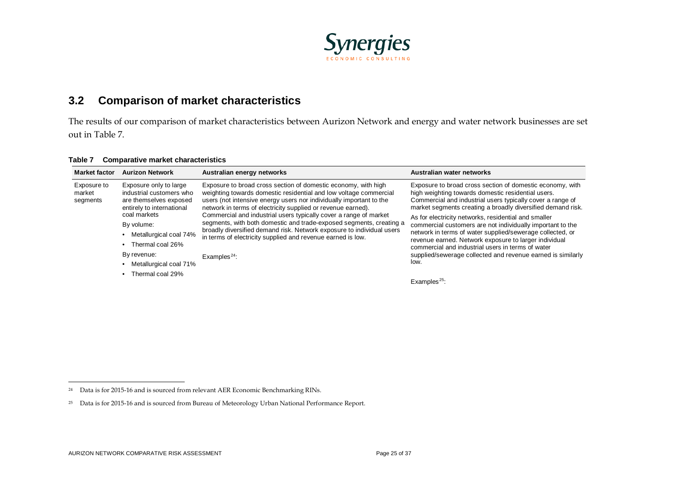<span id="page-24-2"></span><span id="page-24-1"></span>

### **3.2 Comparison of market characteristics**

The results of our comparison of market characteristics between Aurizon Network and energy and water network businesses are set out in [Table 7.](#page-24-0)

| <b>Market factor</b>              | <b>Aurizon Network</b>                                                                                                                                                                                                                             | Australian energy networks                                                                                                                                                                                                                                                                                                                                                                                                                                                                                                                                                                 | Australian water networks                                                                                                                                                                                                                                                                                                                                                                                                                                                                                                                                                                                                                        |
|-----------------------------------|----------------------------------------------------------------------------------------------------------------------------------------------------------------------------------------------------------------------------------------------------|--------------------------------------------------------------------------------------------------------------------------------------------------------------------------------------------------------------------------------------------------------------------------------------------------------------------------------------------------------------------------------------------------------------------------------------------------------------------------------------------------------------------------------------------------------------------------------------------|--------------------------------------------------------------------------------------------------------------------------------------------------------------------------------------------------------------------------------------------------------------------------------------------------------------------------------------------------------------------------------------------------------------------------------------------------------------------------------------------------------------------------------------------------------------------------------------------------------------------------------------------------|
| Exposure to<br>market<br>segments | Exposure only to large<br>industrial customers who<br>are themselves exposed<br>entirely to international<br>coal markets<br>By volume:<br>Metallurgical coal 74%<br>Thermal coal 26%<br>By revenue:<br>Metallurgical coal 71%<br>Thermal coal 29% | Exposure to broad cross section of domestic economy, with high<br>weighting towards domestic residential and low voltage commercial<br>users (not intensive energy users nor individually important to the<br>network in terms of electricity supplied or revenue earned).<br>Commercial and industrial users typically cover a range of market<br>segments, with both domestic and trade-exposed segments, creating a<br>broadly diversified demand risk. Network exposure to individual users<br>in terms of electricity supplied and revenue earned is low.<br>Examples <sup>24</sup> : | Exposure to broad cross section of domestic economy, with<br>high weighting towards domestic residential users.<br>Commercial and industrial users typically cover a range of<br>market segments creating a broadly diversified demand risk.<br>As for electricity networks, residential and smaller<br>commercial customers are not individually important to the<br>network in terms of water supplied/sewerage collected, or<br>revenue earned. Network exposure to larger individual<br>commercial and industrial users in terms of water<br>supplied/sewerage collected and revenue earned is similarly<br>low.<br>Examples <sup>25</sup> : |
|                                   |                                                                                                                                                                                                                                                    |                                                                                                                                                                                                                                                                                                                                                                                                                                                                                                                                                                                            |                                                                                                                                                                                                                                                                                                                                                                                                                                                                                                                                                                                                                                                  |

#### <span id="page-24-0"></span>**Table 7 Comparative market characteristics**

<span id="page-24-3"></span><sup>&</sup>lt;sup>24</sup> Data is for 2015-16 and is sourced from relevant AER Economic Benchmarking RINs.  $\ddot{\phantom{a}}$ 

<sup>&</sup>lt;sup>25</sup> Data is for 2015-16 and is sourced from Bureau of Meteorology Urban National Performance Report.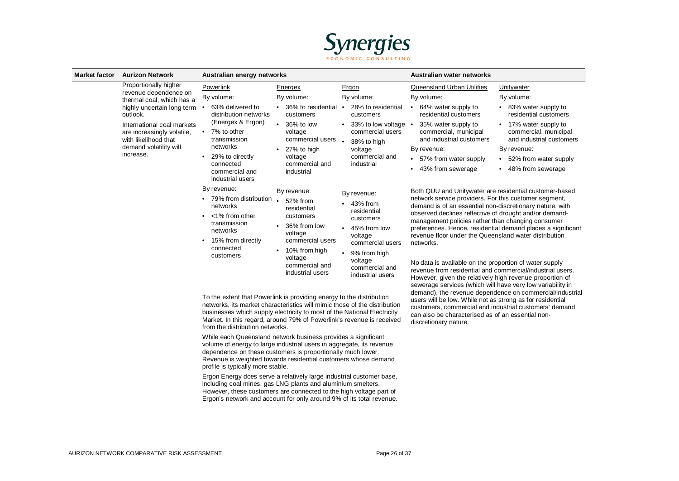

| <b>Market factor</b> | <b>Aurizon Network</b>                                                                                                                                                                                                                           | Australian energy networks                                                                                                                                                                                              |                                                                                                                                                                              |                                                                                                                                                                     | Australian water networks                                                                                                                                                                                                                                                                                                                                                                                                                                                                                                                                                                                         |                                                                                                                                                                                                                                                            |
|----------------------|--------------------------------------------------------------------------------------------------------------------------------------------------------------------------------------------------------------------------------------------------|-------------------------------------------------------------------------------------------------------------------------------------------------------------------------------------------------------------------------|------------------------------------------------------------------------------------------------------------------------------------------------------------------------------|---------------------------------------------------------------------------------------------------------------------------------------------------------------------|-------------------------------------------------------------------------------------------------------------------------------------------------------------------------------------------------------------------------------------------------------------------------------------------------------------------------------------------------------------------------------------------------------------------------------------------------------------------------------------------------------------------------------------------------------------------------------------------------------------------|------------------------------------------------------------------------------------------------------------------------------------------------------------------------------------------------------------------------------------------------------------|
|                      | Proportionally higher<br>revenue dependence on<br>thermal coal, which has a<br>highly uncertain long term<br>outlook.<br>International coal markets<br>are increasingly volatile,<br>with likelihood that<br>demand volatility will<br>increase. | Powerlink<br>By volume:<br>63% delivered to<br>distribution networks<br>(Energex & Ergon)<br>7% to other<br>$\bullet$<br>transmission<br>networks<br>29% to directly<br>connected<br>commercial and<br>industrial users | Energex<br>By volume:<br>36% to residential<br>customers<br>36% to low<br>$\bullet$<br>voltage<br>commercial users<br>27% to high<br>voltage<br>commercial and<br>industrial | Ergon<br>By volume:<br>28% to residential<br>customers<br>33% to low voltage •<br>commercial users<br>38% to high<br>voltage<br>commercial and<br>industrial        | Queensland Urban Utilities<br>By volume:<br>64% water supply to<br>residential customers<br>35% water supply to<br>commercial, municipal<br>and industrial customers<br>By revenue:<br>57% from water supply<br>43% from sewerage                                                                                                                                                                                                                                                                                                                                                                                 | Unitywater<br>By volume:<br>83% water supply to<br>$\bullet$<br>residential customers<br>17% water supply to<br>$\bullet$<br>commercial, municipal<br>and industrial customers<br>By revenue:<br>52% from water supply<br>$\bullet$<br>• 48% from sewerage |
|                      |                                                                                                                                                                                                                                                  | By revenue:<br>79% from distribution<br>networks<br>$<$ 1% from other<br>transmission<br>networks<br>15% from directly<br>connected<br>customers                                                                        | By revenue:<br>52% from<br>residential<br>customers<br>36% from low<br>voltage<br>commercial users<br>10% from high<br>voltage<br>commercial and<br>industrial users         | By revenue:<br>43% from<br>residential<br>customers<br>45% from low<br>voltage<br>commercial users<br>9% from high<br>voltage<br>commercial and<br>industrial users | Both QUU and Unitywater are residential customer-based<br>network service providers. For this customer segment,<br>demand is of an essential non-discretionary nature, with<br>observed declines reflective of drought and/or demand-<br>management policies rather than changing consumer<br>revenue floor under the Queensland water distribution<br>networks.<br>No data is available on the proportion of water supply<br>revenue from residential and commercial/industrial users.<br>However, given the relatively high revenue proportion of<br>sewerage services (which will have very low variability in | preferences. Hence, residential demand places a significant<br>domand) the revenue dependence on commercial inductrial                                                                                                                                     |

To the extent that Powerlink is providing energy to the distribution networks, its market characteristics will mimic those of the distribution businesses which supply electricity to most of the National Electricity Market. In this regard, around 79% of Powerlink's revenue is received from the distribution networks.

While each Queensland network business provides a significant volume of energy to large industrial users in aggregate, its revenue dependence on these customers is proportionally much lower. Revenue is weighted towards residential customers whose demand profile is typically more stable.

Ergon Energy does serve a relatively large industrial customer base, including coal mines, gas LNG plants and aluminium smelters. However, these customers are connected to the high voltage part of Ergon's network and account for only around 9% of its total revenue. demand), the revenue dependence on commercial/industrial users will be low. While not as strong as for residential customers, commercial and industrial customers' demand can also be characterised as of an essential nondiscretionary nature.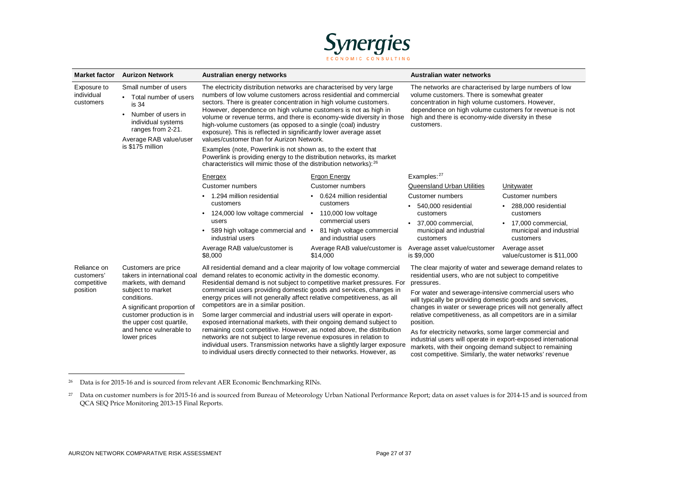<span id="page-26-1"></span><span id="page-26-0"></span>

| <b>Market factor</b>                     | <b>Aurizon Network</b>                                                                                                                                            | Australian energy networks                                                                                                                                                                                                                                                                                                                                                                                                                                                                                                                    |                                                                                                                                                                                                                               | Australian water networks                                                                                                                                                                                                                                                              |                                                                                                                                |
|------------------------------------------|-------------------------------------------------------------------------------------------------------------------------------------------------------------------|-----------------------------------------------------------------------------------------------------------------------------------------------------------------------------------------------------------------------------------------------------------------------------------------------------------------------------------------------------------------------------------------------------------------------------------------------------------------------------------------------------------------------------------------------|-------------------------------------------------------------------------------------------------------------------------------------------------------------------------------------------------------------------------------|----------------------------------------------------------------------------------------------------------------------------------------------------------------------------------------------------------------------------------------------------------------------------------------|--------------------------------------------------------------------------------------------------------------------------------|
| Exposure to<br>individual<br>customers   | Small number of users<br>• Total number of users<br>is 34<br>Number of users in<br>$\bullet$<br>individual systems<br>ranges from 2-21.<br>Average RAB value/user | The electricity distribution networks are characterised by very large<br>numbers of low volume customers across residential and commercial<br>sectors. There is greater concentration in high volume customers.<br>However, dependence on high volume customers is not as high in<br>volume or revenue terms, and there is economy-wide diversity in those<br>high-volume customers (as opposed to a single (coal) industry<br>exposure). This is reflected in significantly lower average asset<br>values/customer than for Aurizon Network. |                                                                                                                                                                                                                               | The networks are characterised by large numbers of low<br>volume customers. There is somewhat greater<br>concentration in high volume customers. However,<br>dependence on high volume customers for revenue is not<br>high and there is economy-wide diversity in these<br>customers. |                                                                                                                                |
|                                          | is \$175 million                                                                                                                                                  | Examples (note, Powerlink is not shown as, to the extent that<br>Powerlink is providing energy to the distribution networks, its market<br>characteristics will mimic those of the distribution networks): 26                                                                                                                                                                                                                                                                                                                                 |                                                                                                                                                                                                                               |                                                                                                                                                                                                                                                                                        |                                                                                                                                |
|                                          |                                                                                                                                                                   | Energex                                                                                                                                                                                                                                                                                                                                                                                                                                                                                                                                       | <b>Ergon Energy</b>                                                                                                                                                                                                           | Examples: $27$                                                                                                                                                                                                                                                                         |                                                                                                                                |
|                                          |                                                                                                                                                                   | Customer numbers                                                                                                                                                                                                                                                                                                                                                                                                                                                                                                                              | <b>Customer numbers</b>                                                                                                                                                                                                       | Queensland Urban Utilities                                                                                                                                                                                                                                                             | Unitywater                                                                                                                     |
|                                          |                                                                                                                                                                   | • 1.294 million residential                                                                                                                                                                                                                                                                                                                                                                                                                                                                                                                   | • 0.624 million residential                                                                                                                                                                                                   | <b>Customer numbers</b>                                                                                                                                                                                                                                                                | Customer numbers                                                                                                               |
|                                          |                                                                                                                                                                   | customers<br>124,000 low voltage commercial •                                                                                                                                                                                                                                                                                                                                                                                                                                                                                                 | customers<br>110,000 low voltage                                                                                                                                                                                              | • 540,000 residential<br>customers                                                                                                                                                                                                                                                     | • 288,000 residential<br>customers                                                                                             |
|                                          |                                                                                                                                                                   | users<br>589 high voltage commercial and •<br>industrial users                                                                                                                                                                                                                                                                                                                                                                                                                                                                                | commercial users<br>81 high voltage commercial<br>and industrial users                                                                                                                                                        | 37,000 commercial,<br>municipal and industrial<br>customers                                                                                                                                                                                                                            | 17,000 commercial,<br>٠<br>municipal and industrial<br>customers                                                               |
|                                          |                                                                                                                                                                   | Average RAB value/customer is<br>\$8,000                                                                                                                                                                                                                                                                                                                                                                                                                                                                                                      | Average RAB value/customer is<br>\$14,000                                                                                                                                                                                     | Average asset value/customer<br>is \$9,000                                                                                                                                                                                                                                             | Average asset<br>value/customer is \$11,000                                                                                    |
| Reliance on<br>customers'<br>competitive | Customers are price<br>takers in international coal<br>markets, with demand                                                                                       |                                                                                                                                                                                                                                                                                                                                                                                                                                                                                                                                               | All residential demand and a clear majority of low voltage commercial<br>demand relates to economic activity in the domestic economy.<br>Residential demand is not subject to competitive market pressures. For<br>pressures. |                                                                                                                                                                                                                                                                                        | The clear majority of water and sewerage demand relates to<br>residential users, who are not subject to competitive            |
| position                                 | subject to market<br>conditions.                                                                                                                                  | commercial users providing domestic goods and services, changes in<br>energy prices will not generally affect relative competitiveness, as all                                                                                                                                                                                                                                                                                                                                                                                                |                                                                                                                                                                                                                               | For water and sewerage-intensive commercial users who<br>will typically be providing domestic goods and services,                                                                                                                                                                      |                                                                                                                                |
|                                          | A significant proportion of<br>customer production is in<br>the upper cost quartile.                                                                              |                                                                                                                                                                                                                                                                                                                                                                                                                                                                                                                                               | competitors are in a similar position.<br>Some larger commercial and industrial users will operate in export-<br>exposed international markets, with their ongoing demand subject to                                          |                                                                                                                                                                                                                                                                                        | changes in water or sewerage prices will not generally affect<br>relative competitiveness, as all competitors are in a similar |
|                                          | and hence vulnerable to<br>lower prices                                                                                                                           | remaining cost competitive. However, as noted above, the distribution<br>networks are not subject to large revenue exposures in relation to<br>individual users. Transmission networks have a slightly larger exposure<br>to individual users directly connected to their networks. However, as                                                                                                                                                                                                                                               |                                                                                                                                                                                                                               | As for electricity networks, some larger commercial and<br>industrial users will operate in export-exposed international<br>markets, with their ongoing demand subject to remaining<br>cost competitive. Similarly, the water networks' revenue                                        |                                                                                                                                |

<sup>26</sup> Data is for 2015-16 and is sourced from relevant AER Economic Benchmarking RINs.

<sup>&</sup>lt;sup>27</sup> Data on customer numbers is for 2015-16 and is sourced from Bureau of Meteorology Urban National Performance Report; data on asset values is for 2014-15 and is sourced from QCA SEQ Price Monitoring 2013-15 Final Reports.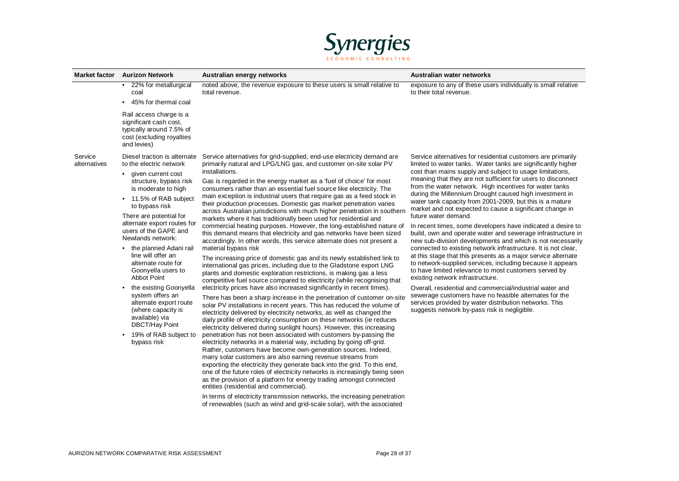

| <b>Market factor</b>    | Aurizon Network                                                                                                                                                                                                                                                                                                                                                                                                                                                                                                                                                                                | Australian energy networks                                                                                                                                                                                                                                                                                                                                                                                                                                                                                                                                                                                                                                                                                                                                                                                                                                                                                                                                                                                                                                                                                                                                                                                                                                                                                                                                                                                                                                                                                                                                                                                                                                                                                                                                                                                                                                                                                                                                                                                                                                                                                                                                                                                                                                    | Australian water networks                                                                                                                                                                                                                                                                                                                                                                                                                                                                                                                                                                                                                                                                                                                                                                                                                                                                                                                                                                                                                                                                                                                                                                                                                                |
|-------------------------|------------------------------------------------------------------------------------------------------------------------------------------------------------------------------------------------------------------------------------------------------------------------------------------------------------------------------------------------------------------------------------------------------------------------------------------------------------------------------------------------------------------------------------------------------------------------------------------------|---------------------------------------------------------------------------------------------------------------------------------------------------------------------------------------------------------------------------------------------------------------------------------------------------------------------------------------------------------------------------------------------------------------------------------------------------------------------------------------------------------------------------------------------------------------------------------------------------------------------------------------------------------------------------------------------------------------------------------------------------------------------------------------------------------------------------------------------------------------------------------------------------------------------------------------------------------------------------------------------------------------------------------------------------------------------------------------------------------------------------------------------------------------------------------------------------------------------------------------------------------------------------------------------------------------------------------------------------------------------------------------------------------------------------------------------------------------------------------------------------------------------------------------------------------------------------------------------------------------------------------------------------------------------------------------------------------------------------------------------------------------------------------------------------------------------------------------------------------------------------------------------------------------------------------------------------------------------------------------------------------------------------------------------------------------------------------------------------------------------------------------------------------------------------------------------------------------------------------------------------------------|----------------------------------------------------------------------------------------------------------------------------------------------------------------------------------------------------------------------------------------------------------------------------------------------------------------------------------------------------------------------------------------------------------------------------------------------------------------------------------------------------------------------------------------------------------------------------------------------------------------------------------------------------------------------------------------------------------------------------------------------------------------------------------------------------------------------------------------------------------------------------------------------------------------------------------------------------------------------------------------------------------------------------------------------------------------------------------------------------------------------------------------------------------------------------------------------------------------------------------------------------------|
|                         | • 22% for metallurgical<br>coal<br>45% for thermal coal<br>$\bullet$                                                                                                                                                                                                                                                                                                                                                                                                                                                                                                                           | noted above, the revenue exposure to these users is small relative to<br>total revenue.                                                                                                                                                                                                                                                                                                                                                                                                                                                                                                                                                                                                                                                                                                                                                                                                                                                                                                                                                                                                                                                                                                                                                                                                                                                                                                                                                                                                                                                                                                                                                                                                                                                                                                                                                                                                                                                                                                                                                                                                                                                                                                                                                                       | exposure to any of these users individually is small relative<br>to their total revenue.                                                                                                                                                                                                                                                                                                                                                                                                                                                                                                                                                                                                                                                                                                                                                                                                                                                                                                                                                                                                                                                                                                                                                                 |
|                         | Rail access charge is a<br>significant cash cost,<br>typically around 7.5% of<br>cost (excluding royalties<br>and levies)                                                                                                                                                                                                                                                                                                                                                                                                                                                                      |                                                                                                                                                                                                                                                                                                                                                                                                                                                                                                                                                                                                                                                                                                                                                                                                                                                                                                                                                                                                                                                                                                                                                                                                                                                                                                                                                                                                                                                                                                                                                                                                                                                                                                                                                                                                                                                                                                                                                                                                                                                                                                                                                                                                                                                               |                                                                                                                                                                                                                                                                                                                                                                                                                                                                                                                                                                                                                                                                                                                                                                                                                                                                                                                                                                                                                                                                                                                                                                                                                                                          |
| Service<br>alternatives | Diesel traction is alternate<br>to the electric network<br>given current cost<br>structure, bypass risk<br>is moderate to high<br>• 11.5% of RAB subject<br>to bypass risk<br>There are potential for<br>alternate export routes for<br>users of the GAPE and<br>Newlands network:<br>• the planned Adani rail<br>line will offer an<br>alternate route for<br>Goonyella users to<br><b>Abbot Point</b><br>the existing Goonyella<br>system offers an<br>alternate export route<br>(where capacity is<br>available) via<br>DBCT/Hay Point<br>19% of RAB subject to<br>$\bullet$<br>bypass risk | Service alternatives for grid-supplied, end-use electricity demand are<br>primarily natural and LPG/LNG gas, and customer on-site solar PV<br>installations.<br>Gas is regarded in the energy market as a 'fuel of choice' for most<br>consumers rather than an essential fuel source like electricity. The<br>main exception is industrial users that require gas as a feed stock in<br>their production processes. Domestic gas market penetration varies<br>across Australian jurisdictions with much higher penetration in southern<br>markets where it has traditionally been used for residential and<br>commercial heating purposes. However, the long-established nature of<br>this demand means that electricity and gas networks have been sized<br>accordingly. In other words, this service alternate does not present a<br>material bypass risk<br>The increasing price of domestic gas and its newly established link to<br>international gas prices, including due to the Gladstone export LNG<br>plants and domestic exploration restrictions, is making gas a less<br>competitive fuel source compared to electricity (while recognising that<br>electricity prices have also increased significantly in recent times).<br>There has been a sharp increase in the penetration of customer on-site<br>solar PV installations in recent years. This has reduced the volume of<br>electricity delivered by electricity networks, as well as changed the<br>daily profile of electricity consumption on these networks (ie reduces<br>electricity delivered during sunlight hours). However, this increasing<br>penetration has not been associated with customers by-passing the<br>electricity networks in a material way, including by going off-grid.<br>Rather, customers have become own-generation sources. Indeed,<br>many solar customers are also earning revenue streams from<br>exporting the electricity they generate back into the grid. To this end,<br>one of the future roles of electricity networks is increasingly being seen<br>as the provision of a platform for energy trading amongst connected<br>entities (residential and commercial).<br>In terms of electricity transmission networks, the increasing penetration | Service alternatives for residential customers are primarily<br>limited to water tanks. Water tanks are significantly higher<br>cost than mains supply and subject to usage limitations,<br>meaning that they are not sufficient for users to disconnect<br>from the water network. High incentives for water tanks<br>during the Millennium Drought caused high investment in<br>water tank capacity from 2001-2009, but this is a mature<br>market and not expected to cause a significant change in<br>future water demand.<br>In recent times, some developers have indicated a desire to<br>build, own and operate water and sewerage infrastructure in<br>new sub-division developments and which is not necessarily<br>connected to existing network infrastructure. It is not clear,<br>at this stage that this presents as a major service alternate<br>to network-supplied services, including because it appears<br>to have limited relevance to most customers served by<br>existing network infrastructure.<br>Overall, residential and commercial/industrial water and<br>sewerage customers have no feasible alternates for the<br>services provided by water distribution networks. This<br>suggests network by-pass risk is negligible. |
|                         |                                                                                                                                                                                                                                                                                                                                                                                                                                                                                                                                                                                                | of renewables (such as wind and grid-scale solar), with the associated                                                                                                                                                                                                                                                                                                                                                                                                                                                                                                                                                                                                                                                                                                                                                                                                                                                                                                                                                                                                                                                                                                                                                                                                                                                                                                                                                                                                                                                                                                                                                                                                                                                                                                                                                                                                                                                                                                                                                                                                                                                                                                                                                                                        |                                                                                                                                                                                                                                                                                                                                                                                                                                                                                                                                                                                                                                                                                                                                                                                                                                                                                                                                                                                                                                                                                                                                                                                                                                                          |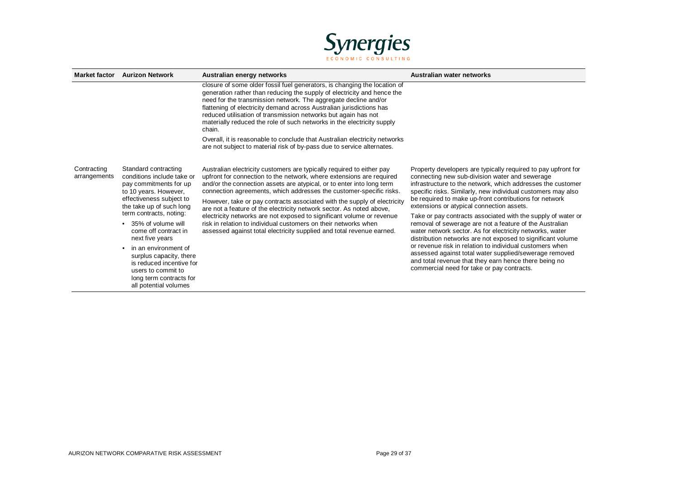

| <b>Market factor</b>        | <b>Aurizon Network</b>                                                                                                                                                                                                                                                                                                                                                                                                          | Australian energy networks                                                                                                                                                                                                                                                                                                                                                                                                                                                                                                                                                                                                                                             | Australian water networks                                                                                                                                                                                                                                                                                                                                                                                                                                                                                                                                                                                                                                                                                                                                                                                                                |
|-----------------------------|---------------------------------------------------------------------------------------------------------------------------------------------------------------------------------------------------------------------------------------------------------------------------------------------------------------------------------------------------------------------------------------------------------------------------------|------------------------------------------------------------------------------------------------------------------------------------------------------------------------------------------------------------------------------------------------------------------------------------------------------------------------------------------------------------------------------------------------------------------------------------------------------------------------------------------------------------------------------------------------------------------------------------------------------------------------------------------------------------------------|------------------------------------------------------------------------------------------------------------------------------------------------------------------------------------------------------------------------------------------------------------------------------------------------------------------------------------------------------------------------------------------------------------------------------------------------------------------------------------------------------------------------------------------------------------------------------------------------------------------------------------------------------------------------------------------------------------------------------------------------------------------------------------------------------------------------------------------|
|                             |                                                                                                                                                                                                                                                                                                                                                                                                                                 | closure of some older fossil fuel generators, is changing the location of<br>generation rather than reducing the supply of electricity and hence the<br>need for the transmission network. The aggregate decline and/or<br>flattening of electricity demand across Australian jurisdictions has<br>reduced utilisation of transmission networks but again has not<br>materially reduced the role of such networks in the electricity supply<br>chain.                                                                                                                                                                                                                  |                                                                                                                                                                                                                                                                                                                                                                                                                                                                                                                                                                                                                                                                                                                                                                                                                                          |
|                             |                                                                                                                                                                                                                                                                                                                                                                                                                                 | Overall, it is reasonable to conclude that Australian electricity networks<br>are not subject to material risk of by-pass due to service alternates.                                                                                                                                                                                                                                                                                                                                                                                                                                                                                                                   |                                                                                                                                                                                                                                                                                                                                                                                                                                                                                                                                                                                                                                                                                                                                                                                                                                          |
| Contracting<br>arrangements | Standard contracting<br>conditions include take or<br>pay commitments for up<br>to 10 years. However,<br>effectiveness subject to<br>the take up of such long<br>term contracts, noting:<br>35% of volume will<br>come off contract in<br>next five years<br>in an environment of<br>$\bullet$<br>surplus capacity, there<br>is reduced incentive for<br>users to commit to<br>long term contracts for<br>all potential volumes | Australian electricity customers are typically required to either pay<br>upfront for connection to the network, where extensions are required<br>and/or the connection assets are atypical, or to enter into long term<br>connection agreements, which addresses the customer-specific risks.<br>However, take or pay contracts associated with the supply of electricity<br>are not a feature of the electricity network sector. As noted above,<br>electricity networks are not exposed to significant volume or revenue<br>risk in relation to individual customers on their networks when<br>assessed against total electricity supplied and total revenue earned. | Property developers are typically required to pay upfront for<br>connecting new sub-division water and sewerage<br>infrastructure to the network, which addresses the customer<br>specific risks. Similarly, new individual customers may also<br>be required to make up-front contributions for network<br>extensions or atypical connection assets.<br>Take or pay contracts associated with the supply of water or<br>removal of sewerage are not a feature of the Australian<br>water network sector. As for electricity networks, water<br>distribution networks are not exposed to significant volume<br>or revenue risk in relation to individual customers when<br>assessed against total water supplied/sewerage removed<br>and total revenue that they earn hence there being no<br>commercial need for take or pay contracts. |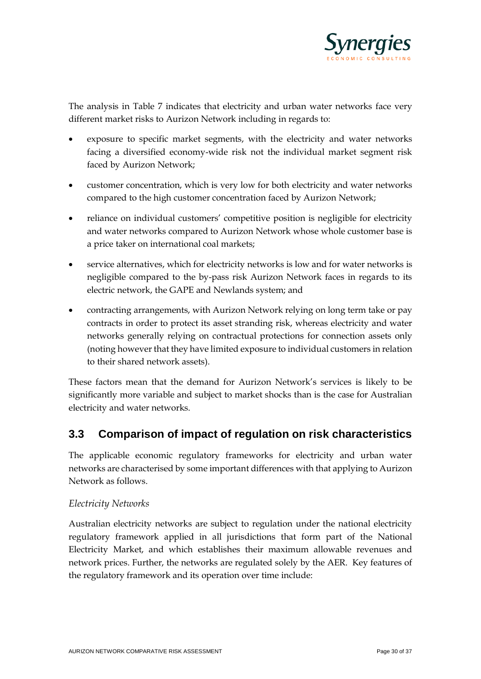

The analysis in [Table 7](#page-24-3) indicates that electricity and urban water networks face very different market risks to Aurizon Network including in regards to:

- exposure to specific market segments, with the electricity and water networks facing a diversified economy-wide risk not the individual market segment risk faced by Aurizon Network;
- customer concentration, which is very low for both electricity and water networks compared to the high customer concentration faced by Aurizon Network;
- reliance on individual customers' competitive position is negligible for electricity and water networks compared to Aurizon Network whose whole customer base is a price taker on international coal markets;
- service alternatives, which for electricity networks is low and for water networks is negligible compared to the by-pass risk Aurizon Network faces in regards to its electric network, the GAPE and Newlands system; and
- contracting arrangements, with Aurizon Network relying on long term take or pay contracts in order to protect its asset stranding risk, whereas electricity and water networks generally relying on contractual protections for connection assets only (noting however that they have limited exposure to individual customers in relation to their shared network assets).

These factors mean that the demand for Aurizon Network's services is likely to be significantly more variable and subject to market shocks than is the case for Australian electricity and water networks.

### **3.3 Comparison of impact of regulation on risk characteristics**

The applicable economic regulatory frameworks for electricity and urban water networks are characterised by some important differences with that applying to Aurizon Network as follows.

### *Electricity Networks*

Australian electricity networks are subject to regulation under the national electricity regulatory framework applied in all jurisdictions that form part of the National Electricity Market, and which establishes their maximum allowable revenues and network prices. Further, the networks are regulated solely by the AER. Key features of the regulatory framework and its operation over time include: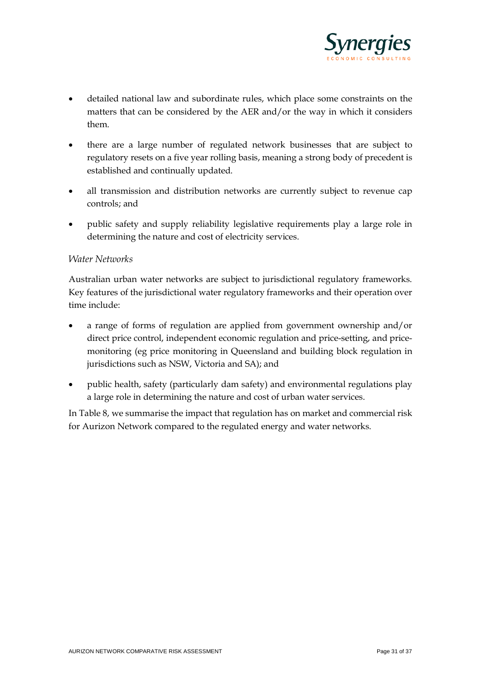

- detailed national law and subordinate rules, which place some constraints on the matters that can be considered by the AER and/or the way in which it considers them.
- there are a large number of regulated network businesses that are subject to regulatory resets on a five year rolling basis, meaning a strong body of precedent is established and continually updated.
- all transmission and distribution networks are currently subject to revenue cap controls; and
- public safety and supply reliability legislative requirements play a large role in determining the nature and cost of electricity services.

#### *Water Networks*

Australian urban water networks are subject to jurisdictional regulatory frameworks. Key features of the jurisdictional water regulatory frameworks and their operation over time include:

- a range of forms of regulation are applied from government ownership and/or direct price control, independent economic regulation and price-setting, and pricemonitoring (eg price monitoring in Queensland and building block regulation in jurisdictions such as NSW, Victoria and SA); and
- public health, safety (particularly dam safety) and environmental regulations play a large role in determining the nature and cost of urban water services.

In [Table 8,](#page-31-0) we summarise the impact that regulation has on market and commercial risk for Aurizon Network compared to the regulated energy and water networks.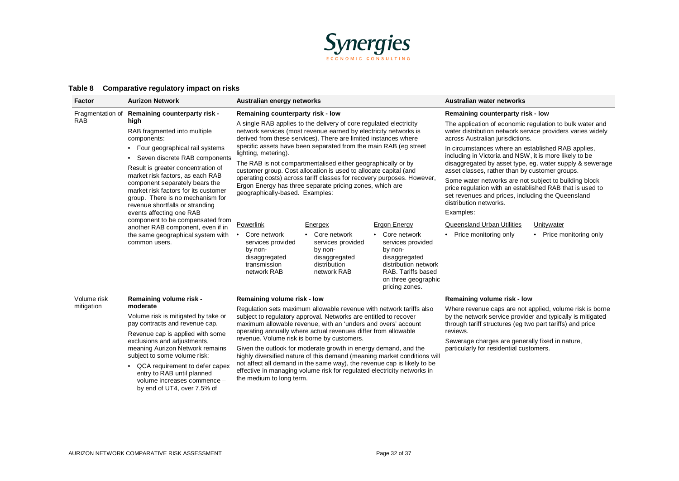

#### **Table 8 Comparative regulatory impact on risks**

| Factor                         | <b>Aurizon Network</b>                                                                                                                                                                                                                                                                                                                                                                                                                                                                                                                            | Australian energy networks                                                                                                                                                                                                                                                                                                                                                                                                                                                                                                                                                                                                                                                                | Australian water networks                                                                                                                                                                                                                                                                                                                                                                                                                                                                                                                                                                                                                      |
|--------------------------------|---------------------------------------------------------------------------------------------------------------------------------------------------------------------------------------------------------------------------------------------------------------------------------------------------------------------------------------------------------------------------------------------------------------------------------------------------------------------------------------------------------------------------------------------------|-------------------------------------------------------------------------------------------------------------------------------------------------------------------------------------------------------------------------------------------------------------------------------------------------------------------------------------------------------------------------------------------------------------------------------------------------------------------------------------------------------------------------------------------------------------------------------------------------------------------------------------------------------------------------------------------|------------------------------------------------------------------------------------------------------------------------------------------------------------------------------------------------------------------------------------------------------------------------------------------------------------------------------------------------------------------------------------------------------------------------------------------------------------------------------------------------------------------------------------------------------------------------------------------------------------------------------------------------|
| Fragmentation of<br><b>RAB</b> | Remaining counterparty risk -<br>high<br>RAB fragmented into multiple<br>components:<br>• Four geographical rail systems<br>• Seven discrete RAB components<br>Result is greater concentration of<br>market risk factors, as each RAB<br>component separately bears the<br>market risk factors for its customer<br>group. There is no mechanism for<br>revenue shortfalls or stranding<br>events affecting one RAB<br>component to be compensated from<br>another RAB component, even if in<br>the same geographical system with<br>common users. | Remaining counterparty risk - low<br>A single RAB applies to the delivery of core regulated electricity<br>network services (most revenue earned by electricity networks is<br>derived from these services). There are limited instances where<br>specific assets have been separated from the main RAB (eg street)<br>lighting, metering).<br>The RAB is not compartmentalised either geographically or by<br>customer group. Cost allocation is used to allocate capital (and<br>operating costs) across tariff classes for recovery purposes. However,<br>Ergon Energy has three separate pricing zones, which are<br>geographically-based. Examples:                                  | Remaining counterparty risk - low<br>The application of economic regulation to bulk water and<br>water distribution network service providers varies widely<br>across Australian jurisdictions.<br>In circumstances where an established RAB applies,<br>including in Victoria and NSW, it is more likely to be<br>disaggregated by asset type, eg. water supply & sewerage<br>asset classes, rather than by customer groups.<br>Some water networks are not subject to building block<br>price regulation with an established RAB that is used to<br>set revenues and prices, including the Queensland<br>distribution networks.<br>Examples: |
|                                |                                                                                                                                                                                                                                                                                                                                                                                                                                                                                                                                                   | Powerlink<br><b>Ergon Energy</b><br>Energex<br>Core network<br>• Core network<br>• Core network<br>services provided<br>services provided<br>services provided<br>by non-<br>by non-<br>by non-<br>disaggregated<br>disaggregated<br>disaggregated<br>distribution<br>distribution network<br>transmission<br>network RAB<br>network RAB<br>RAB. Tariffs based<br>on three geographic<br>pricing zones.                                                                                                                                                                                                                                                                                   | <b>Queensland Urban Utilities</b><br>Unitywater<br>• Price monitoring only<br>• Price monitoring only                                                                                                                                                                                                                                                                                                                                                                                                                                                                                                                                          |
| Volume risk<br>mitigation      | Remaining volume risk -<br>moderate<br>Volume risk is mitigated by take or<br>pay contracts and revenue cap.<br>Revenue cap is applied with some<br>exclusions and adjustments,<br>meaning Aurizon Network remains<br>subject to some volume risk:<br>• QCA requirement to defer capex<br>entry to RAB until planned<br>volume increases commence –                                                                                                                                                                                               | Remaining volume risk - low<br>Regulation sets maximum allowable revenue with network tariffs also<br>subject to regulatory approval. Networks are entitled to recover<br>maximum allowable revenue, with an 'unders and overs' account<br>operating annually where actual revenues differ from allowable<br>revenue. Volume risk is borne by customers.<br>Given the outlook for moderate growth in energy demand, and the<br>highly diversified nature of this demand (meaning market conditions will<br>not affect all demand in the same way), the revenue cap is likely to be<br>effective in managing volume risk for regulated electricity networks in<br>the medium to long term. | Remaining volume risk - low<br>Where revenue caps are not applied, volume risk is borne<br>by the network service provider and typically is mitigated<br>through tariff structures (eg two part tariffs) and price<br>reviews.<br>Sewerage charges are generally fixed in nature,<br>particularly for residential customers.                                                                                                                                                                                                                                                                                                                   |

<span id="page-31-0"></span>volume increases commence – by end of UT4, over 7.5% of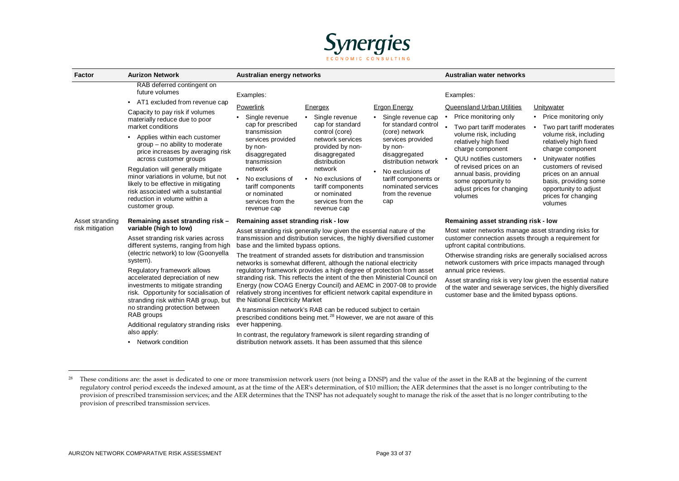<span id="page-32-0"></span>

| Factor                             | <b>Aurizon Network</b>                                                                                                                                                                                                                                                                                                                                                                                                                                                                                                | Australian energy networks                                                                                                                                                                                                                                                                                                                                                                                                                                                                                                                                                                                                                                                                                                                                                                                                                                                                                                                                                                                                                    | Australian water networks                                                                                                                                                                                                                                                                                                                                                                                                                                                                                                                                                                                      |
|------------------------------------|-----------------------------------------------------------------------------------------------------------------------------------------------------------------------------------------------------------------------------------------------------------------------------------------------------------------------------------------------------------------------------------------------------------------------------------------------------------------------------------------------------------------------|-----------------------------------------------------------------------------------------------------------------------------------------------------------------------------------------------------------------------------------------------------------------------------------------------------------------------------------------------------------------------------------------------------------------------------------------------------------------------------------------------------------------------------------------------------------------------------------------------------------------------------------------------------------------------------------------------------------------------------------------------------------------------------------------------------------------------------------------------------------------------------------------------------------------------------------------------------------------------------------------------------------------------------------------------|----------------------------------------------------------------------------------------------------------------------------------------------------------------------------------------------------------------------------------------------------------------------------------------------------------------------------------------------------------------------------------------------------------------------------------------------------------------------------------------------------------------------------------------------------------------------------------------------------------------|
|                                    | RAB deferred contingent on<br>future volumes<br>• AT1 excluded from revenue cap                                                                                                                                                                                                                                                                                                                                                                                                                                       | Examples:                                                                                                                                                                                                                                                                                                                                                                                                                                                                                                                                                                                                                                                                                                                                                                                                                                                                                                                                                                                                                                     | Examples:                                                                                                                                                                                                                                                                                                                                                                                                                                                                                                                                                                                                      |
|                                    | Capacity to pay risk if volumes<br>materially reduce due to poor<br>market conditions<br>• Applies within each customer<br>group – no ability to moderate<br>price increases by averaging risk<br>across customer groups<br>Regulation will generally mitigate<br>minor variations in volume, but not<br>likely to be effective in mitigating<br>risk associated with a substantial<br>reduction in volume within a<br>customer group.                                                                                | Powerlink<br>Ergon Energy<br>Energex<br>Single revenue<br>• Single revenue<br>Single revenue cap<br>cap for prescribed<br>cap for standard<br>for standard control<br>transmission<br>control (core)<br>(core) network<br>services provided<br>network services<br>services provided<br>provided by non-<br>by non-<br>by non-<br>disaggregated<br>disaggregated<br>disaggregated<br>distribution network<br>transmission<br>distribution<br>network<br>network<br>• No exclusions of<br>• No exclusions of<br>No exclusions of<br>tariff components or<br>nominated services<br>tariff components<br>tariff components<br>or nominated<br>or nominated<br>from the revenue<br>services from the<br>services from the<br>cap<br>revenue cap<br>revenue cap                                                                                                                                                                                                                                                                                    | Queensland Urban Utilities<br>Unitywater<br>Price monitoring only<br>• Price monitoring only<br>Two part tariff moderates<br>Two part tariff moderates<br>volume risk, including<br>volume risk, including<br>relatively high fixed<br>relatively high fixed<br>charge component<br>charge component<br>QUU notifies customers<br>Unitywater notifies<br>of revised prices on an<br>customers of revised<br>annual basis, providing<br>prices on an annual<br>some opportunity to<br>basis, providing some<br>adjust prices for changing<br>opportunity to adjust<br>volumes<br>prices for changing<br>volumes |
| Asset stranding<br>risk mitigation | Remaining asset stranding risk -<br>variable (high to low)<br>Asset stranding risk varies across<br>different systems, ranging from high<br>(electric network) to low (Goonyella<br>system).<br>Regulatory framework allows<br>accelerated depreciation of new<br>investments to mitigate stranding<br>risk. Opportunity for socialisation of<br>stranding risk within RAB group, but<br>no stranding protection between<br>RAB groups<br>Additional regulatory stranding risks<br>also apply:<br>• Network condition | Remaining asset stranding risk - low<br>Asset stranding risk generally low given the essential nature of the<br>transmission and distribution services, the highly diversified customer<br>base and the limited bypass options.<br>The treatment of stranded assets for distribution and transmission<br>networks is somewhat different, although the national electricity<br>regulatory framework provides a high degree of protection from asset<br>stranding risk. This reflects the intent of the then Ministerial Council on<br>Energy (now COAG Energy Council) and AEMC in 2007-08 to provide<br>relatively strong incentives for efficient network capital expenditure in<br>the National Electricity Market<br>A transmission network's RAB can be reduced subject to certain<br>prescribed conditions being met. <sup>28</sup> However, we are not aware of this<br>ever happening.<br>In contrast, the regulatory framework is silent regarding stranding of<br>distribution network assets. It has been assumed that this silence | Remaining asset stranding risk - low<br>Most water networks manage asset stranding risks for<br>customer connection assets through a requirement for<br>upfront capital contributions.<br>Otherwise stranding risks are generally socialised across<br>network customers with price impacts managed through<br>annual price reviews.<br>Asset stranding risk is very low given the essential nature<br>of the water and sewerage services, the highly diversified<br>customer base and the limited bypass options.                                                                                             |

<sup>&</sup>lt;sup>28</sup> These conditions are: the asset is dedicated to one or more transmission network users (not being a DNSP) and the value of the asset in the RAB at the beginning of the current regulatory control period exceeds the indexed amount, as at the time of the AER's determination, of \$10 million; the AER determines that the asset is no longer contributing to the provision of prescribed transmission services; and the AER determines that the TNSP has not adequately sought to manage the risk of the asset that is no longer contributing to the provision of prescribed transmission services.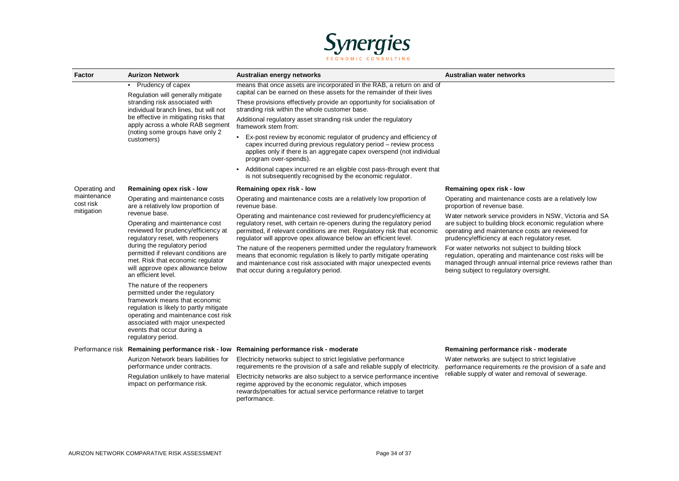

| Factor                   | <b>Aurizon Network</b>                                                                                                                                                                                                                                                             | Australian energy networks                                                                                                                                                                                                                                                | Australian water networks                                                                                                                                                                                           |
|--------------------------|------------------------------------------------------------------------------------------------------------------------------------------------------------------------------------------------------------------------------------------------------------------------------------|---------------------------------------------------------------------------------------------------------------------------------------------------------------------------------------------------------------------------------------------------------------------------|---------------------------------------------------------------------------------------------------------------------------------------------------------------------------------------------------------------------|
|                          | • Prudency of capex<br>Regulation will generally mitigate                                                                                                                                                                                                                          | means that once assets are incorporated in the RAB, a return on and of<br>capital can be earned on these assets for the remainder of their lives                                                                                                                          |                                                                                                                                                                                                                     |
|                          | stranding risk associated with<br>individual branch lines, but will not<br>be effective in mitigating risks that<br>apply across a whole RAB segment<br>(noting some groups have only 2<br>customers)                                                                              | These provisions effectively provide an opportunity for socialisation of<br>stranding risk within the whole customer base.                                                                                                                                                |                                                                                                                                                                                                                     |
|                          |                                                                                                                                                                                                                                                                                    | Additional regulatory asset stranding risk under the regulatory<br>framework stem from:                                                                                                                                                                                   |                                                                                                                                                                                                                     |
|                          |                                                                                                                                                                                                                                                                                    | Ex-post review by economic regulator of prudency and efficiency of<br>capex incurred during previous regulatory period - review process<br>applies only if there is an aggregate capex overspend (not individual<br>program over-spends).                                 |                                                                                                                                                                                                                     |
|                          |                                                                                                                                                                                                                                                                                    | • Additional capex incurred re an eligible cost pass-through event that<br>is not subsequently recognised by the economic regulator.                                                                                                                                      |                                                                                                                                                                                                                     |
| Operating and            | Remaining opex risk - low                                                                                                                                                                                                                                                          | Remaining opex risk - low                                                                                                                                                                                                                                                 | Remaining opex risk - low                                                                                                                                                                                           |
| maintenance<br>cost risk | Operating and maintenance costs<br>are a relatively low proportion of<br>revenue base.                                                                                                                                                                                             | Operating and maintenance costs are a relatively low proportion of<br>revenue base.                                                                                                                                                                                       | Operating and maintenance costs are a relatively low<br>proportion of revenue base.                                                                                                                                 |
| mitigation               |                                                                                                                                                                                                                                                                                    | Operating and maintenance cost reviewed for prudency/efficiency at                                                                                                                                                                                                        | Water network service providers in NSW, Victoria and SA                                                                                                                                                             |
|                          | Operating and maintenance cost<br>reviewed for prudency/efficiency at<br>requlatory reset, with reopeners<br>during the regulatory period<br>permitted if relevant conditions are<br>met. Risk that economic regulator<br>will approve opex allowance below<br>an efficient level. | regulatory reset, with certain re-openers during the regulatory period<br>permitted, if relevant conditions are met. Regulatory risk that economic<br>operating and maintenance costs are reviewed for<br>regulator will approve opex allowance below an efficient level. | are subject to building block economic regulation where<br>prudency/efficiency at each regulatory reset.                                                                                                            |
|                          |                                                                                                                                                                                                                                                                                    | The nature of the reopeners permitted under the regulatory framework<br>means that economic regulation is likely to partly mitigate operating<br>and maintenance cost risk associated with major unexpected events<br>that occur during a regulatory period.              | For water networks not subject to building block<br>regulation, operating and maintenance cost risks will be<br>managed through annual internal price reviews rather than<br>being subject to regulatory oversight. |
|                          | The nature of the reopeners<br>permitted under the regulatory<br>framework means that economic<br>regulation is likely to partly mitigate<br>operating and maintenance cost risk<br>associated with major unexpected<br>events that occur during a<br>regulatory period.           |                                                                                                                                                                                                                                                                           |                                                                                                                                                                                                                     |
|                          | Performance risk Remaining performance risk - low                                                                                                                                                                                                                                  | Remaining performance risk - moderate                                                                                                                                                                                                                                     | Remaining performance risk - moderate                                                                                                                                                                               |
|                          | Aurizon Network bears liabilities for<br>performance under contracts.                                                                                                                                                                                                              | Electricity networks subject to strict legislative performance<br>requirements re the provision of a safe and reliable supply of electricity.                                                                                                                             | Water networks are subject to strict legislative<br>performance requirements re the provision of a safe and<br>reliable supply of water and removal of sewerage.                                                    |
|                          | Regulation unlikely to have material<br>impact on performance risk.                                                                                                                                                                                                                | Electricity networks are also subject to a service performance incentive<br>regime approved by the economic regulator, which imposes<br>rewards/penalties for actual service performance relative to target<br>performance.                                               |                                                                                                                                                                                                                     |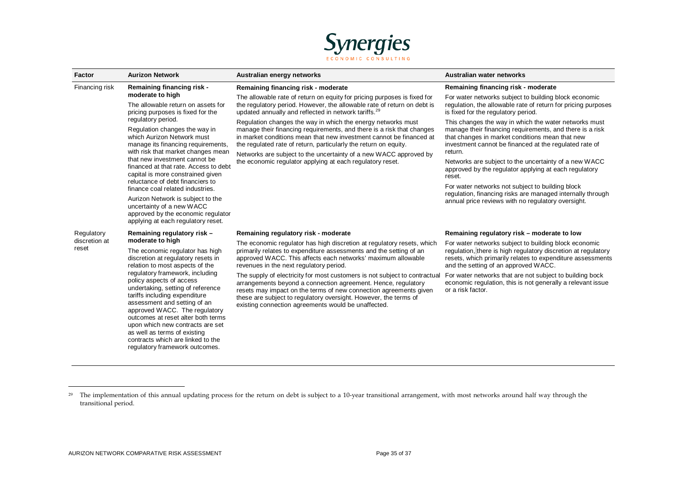<span id="page-34-0"></span>

| Factor                 | <b>Aurizon Network</b>                                                                                                                                                                                                                                                                                                                                                                                                                                                                                              | Australian energy networks                                                                                                                                                                                                                                                                                                                                                                                         | Australian water networks                                                                                                                                                                                                                 |
|------------------------|---------------------------------------------------------------------------------------------------------------------------------------------------------------------------------------------------------------------------------------------------------------------------------------------------------------------------------------------------------------------------------------------------------------------------------------------------------------------------------------------------------------------|--------------------------------------------------------------------------------------------------------------------------------------------------------------------------------------------------------------------------------------------------------------------------------------------------------------------------------------------------------------------------------------------------------------------|-------------------------------------------------------------------------------------------------------------------------------------------------------------------------------------------------------------------------------------------|
| Financing risk         | Remaining financing risk -<br>moderate to high<br>The allowable return on assets for<br>pricing purposes is fixed for the                                                                                                                                                                                                                                                                                                                                                                                           | Remaining financing risk - moderate<br>The allowable rate of return on equity for pricing purposes is fixed for<br>the regulatory period. However, the allowable rate of return on debt is<br>updated annually and reflected in network tariffs. <sup>29</sup>                                                                                                                                                     | Remaining financing risk - moderate<br>For water networks subject to building block economic<br>regulation, the allowable rate of return for pricing purposes<br>is fixed for the regulatory period.                                      |
|                        | regulatory period.<br>Regulation changes the way in<br>which Aurizon Network must<br>manage its financing requirements,<br>with risk that market changes mean<br>that new investment cannot be<br>financed at that rate. Access to debt<br>capital is more constrained given<br>reluctance of debt financiers to                                                                                                                                                                                                    | Regulation changes the way in which the energy networks must<br>manage their financing requirements, and there is a risk that changes<br>in market conditions mean that new investment cannot be financed at<br>the regulated rate of return, particularly the return on equity.<br>Networks are subject to the uncertainty of a new WACC approved by<br>the economic regulator applying at each regulatory reset. | This changes the way in which the water networks must<br>manage their financing requirements, and there is a risk<br>that changes in market conditions mean that new<br>investment cannot be financed at the regulated rate of<br>return. |
|                        |                                                                                                                                                                                                                                                                                                                                                                                                                                                                                                                     |                                                                                                                                                                                                                                                                                                                                                                                                                    | Networks are subject to the uncertainty of a new WACC<br>approved by the regulator applying at each regulatory<br>reset.                                                                                                                  |
|                        | finance coal related industries.<br>Aurizon Network is subject to the<br>uncertainty of a new WACC<br>approved by the economic regulator<br>applying at each regulatory reset.                                                                                                                                                                                                                                                                                                                                      |                                                                                                                                                                                                                                                                                                                                                                                                                    | For water networks not subject to building block<br>regulation, financing risks are managed internally through<br>annual price reviews with no regulatory oversight.                                                                      |
| Regulatory             | Remaining regulatory risk -                                                                                                                                                                                                                                                                                                                                                                                                                                                                                         | Remaining regulatory risk - moderate                                                                                                                                                                                                                                                                                                                                                                               | Remaining regulatory risk – moderate to low                                                                                                                                                                                               |
| discretion at<br>reset | moderate to high<br>The economic regulator has high<br>discretion at regulatory resets in<br>relation to most aspects of the<br>regulatory framework, including<br>policy aspects of access<br>undertaking, setting of reference<br>tariffs including expenditure<br>assessment and setting of an<br>approved WACC. The regulatory<br>outcomes at reset alter both terms<br>upon which new contracts are set<br>as well as terms of existing<br>contracts which are linked to the<br>regulatory framework outcomes. | The economic regulator has high discretion at regulatory resets, which<br>primarily relates to expenditure assessments and the setting of an<br>approved WACC. This affects each networks' maximum allowable<br>revenues in the next regulatory period.                                                                                                                                                            | For water networks subject to building block economic<br>regulation, there is high regulatory discretion at regulatory<br>resets, which primarily relates to expenditure assessments<br>and the setting of an approved WACC.              |
|                        |                                                                                                                                                                                                                                                                                                                                                                                                                                                                                                                     | The supply of electricity for most customers is not subject to contractual<br>arrangements beyond a connection agreement. Hence, regulatory<br>resets may impact on the terms of new connection agreements given<br>these are subject to regulatory oversight. However, the terms of<br>existing connection agreements would be unaffected.                                                                        | For water networks that are not subject to building bock<br>economic regulation, this is not generally a relevant issue<br>or a risk factor.                                                                                              |

 $\ddot{\phantom{a}}$ 

 $29$  The implementation of this annual updating process for the return on debt is subject to a 10-year transitional arrangement, with most networks around half way through the transitional period.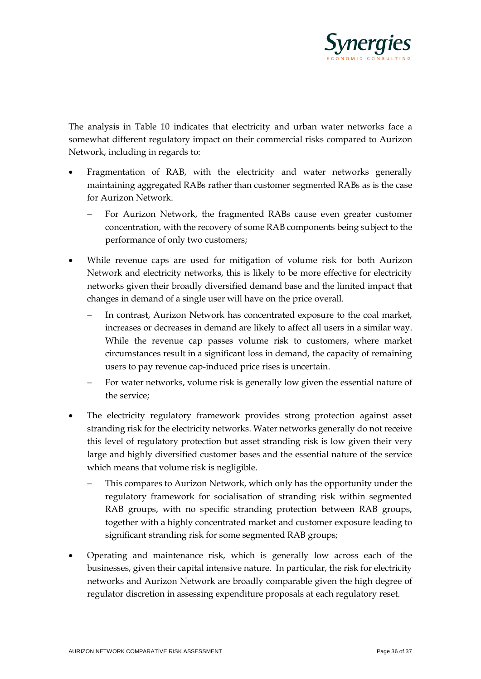

The analysis in Table 10 indicates that electricity and urban water networks face a somewhat different regulatory impact on their commercial risks compared to Aurizon Network, including in regards to:

- Fragmentation of RAB, with the electricity and water networks generally maintaining aggregated RABs rather than customer segmented RABs as is the case for Aurizon Network.
	- For Aurizon Network, the fragmented RABs cause even greater customer concentration, with the recovery of some RAB components being subject to the performance of only two customers;
- While revenue caps are used for mitigation of volume risk for both Aurizon Network and electricity networks, this is likely to be more effective for electricity networks given their broadly diversified demand base and the limited impact that changes in demand of a single user will have on the price overall.
	- In contrast, Aurizon Network has concentrated exposure to the coal market, increases or decreases in demand are likely to affect all users in a similar way. While the revenue cap passes volume risk to customers, where market circumstances result in a significant loss in demand, the capacity of remaining users to pay revenue cap-induced price rises is uncertain.
	- − For water networks, volume risk is generally low given the essential nature of the service;
- The electricity regulatory framework provides strong protection against asset stranding risk for the electricity networks. Water networks generally do not receive this level of regulatory protection but asset stranding risk is low given their very large and highly diversified customer bases and the essential nature of the service which means that volume risk is negligible.
	- This compares to Aurizon Network, which only has the opportunity under the regulatory framework for socialisation of stranding risk within segmented RAB groups, with no specific stranding protection between RAB groups, together with a highly concentrated market and customer exposure leading to significant stranding risk for some segmented RAB groups;
- Operating and maintenance risk, which is generally low across each of the businesses, given their capital intensive nature. In particular, the risk for electricity networks and Aurizon Network are broadly comparable given the high degree of regulator discretion in assessing expenditure proposals at each regulatory reset.